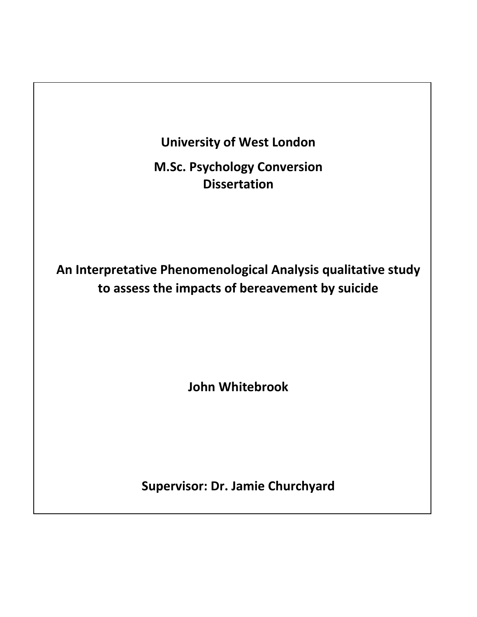

**M.Sc. Psychology Conversion Dissertation**

**An Interpretative Phenomenological Analysis qualitative study to assess the impacts of bereavement by suicide**

**John Whitebrook**

**Supervisor: Dr. Jamie Churchyard**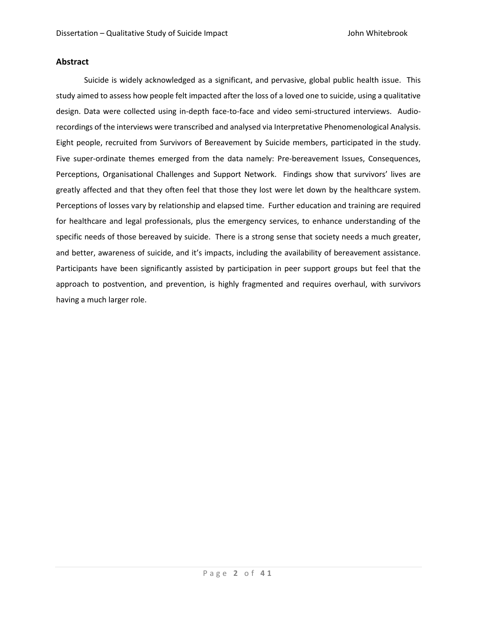# **Abstract**

Suicide is widely acknowledged as a significant, and pervasive, global public health issue. This study aimed to assess how people felt impacted after the loss of a loved one to suicide, using a qualitative design. Data were collected using in-depth face-to-face and video semi-structured interviews. Audiorecordings of the interviews were transcribed and analysed via Interpretative Phenomenological Analysis. Eight people, recruited from Survivors of Bereavement by Suicide members, participated in the study. Five super-ordinate themes emerged from the data namely: Pre-bereavement Issues, Consequences, Perceptions, Organisational Challenges and Support Network. Findings show that survivors' lives are greatly affected and that they often feel that those they lost were let down by the healthcare system. Perceptions of losses vary by relationship and elapsed time. Further education and training are required for healthcare and legal professionals, plus the emergency services, to enhance understanding of the specific needs of those bereaved by suicide. There is a strong sense that society needs a much greater, and better, awareness of suicide, and it's impacts, including the availability of bereavement assistance. Participants have been significantly assisted by participation in peer support groups but feel that the approach to postvention, and prevention, is highly fragmented and requires overhaul, with survivors having a much larger role.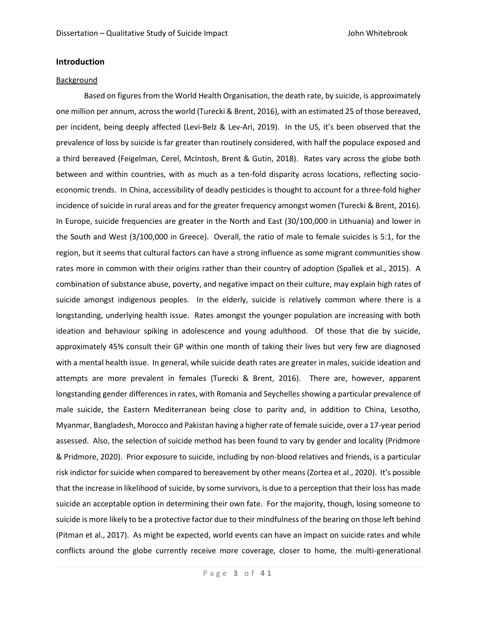# **Introduction**

#### Background

Based on figures from the World Health Organisation, the death rate, by suicide, is approximately one million per annum, across the world (Turecki & Brent, 2016), with an estimated 25 of those bereaved, per incident, being deeply affected (Levi-Belz & Lev-Ari, 2019). In the US, it's been observed that the prevalence of loss by suicide is far greater than routinely considered, with half the populace exposed and a third bereaved (Feigelman, Cerel, McIntosh, Brent & Gutin, 2018). Rates vary across the globe both between and within countries, with as much as a ten-fold disparity across locations, reflecting socioeconomic trends. In China, accessibility of deadly pesticides is thought to account for a three-fold higher incidence of suicide in rural areas and for the greater frequency amongst women (Turecki & Brent, 2016). In Europe, suicide frequencies are greater in the North and East (30/100,000 in Lithuania) and lower in the South and West (3/100,000 in Greece). Overall, the ratio of male to female suicides is 5:1, for the region, but it seems that cultural factors can have a strong influence as some migrant communities show rates more in common with their origins rather than their country of adoption (Spallek et al., 2015). A combination of substance abuse, poverty, and negative impact on their culture, may explain high rates of suicide amongst indigenous peoples. In the elderly, suicide is relatively common where there is a longstanding, underlying health issue. Rates amongst the younger population are increasing with both ideation and behaviour spiking in adolescence and young adulthood. Of those that die by suicide, approximately 45% consult their GP within one month of taking their lives but very few are diagnosed with a mental health issue. In general, while suicide death rates are greater in males, suicide ideation and attempts are more prevalent in females (Turecki & Brent, 2016). There are, however, apparent longstanding gender differences in rates, with Romania and Seychelles showing a particular prevalence of male suicide, the Eastern Mediterranean being close to parity and, in addition to China, Lesotho, Myanmar, Bangladesh, Morocco and Pakistan having a higher rate of female suicide, over a 17-year period assessed. Also, the selection of suicide method has been found to vary by gender and locality (Pridmore & Pridmore, 2020). Prior exposure to suicide, including by non-blood relatives and friends, is a particular risk indictor for suicide when compared to bereavement by other means (Zortea et al., 2020). It's possible that the increase in likelihood of suicide, by some survivors, is due to a perception that their loss has made suicide an acceptable option in determining their own fate. For the majority, though, losing someone to suicide is more likely to be a protective factor due to their mindfulness of the bearing on those left behind (Pitman et al., 2017). As might be expected, world events can have an impact on suicide rates and while conflicts around the globe currently receive more coverage, closer to home, the multi-generational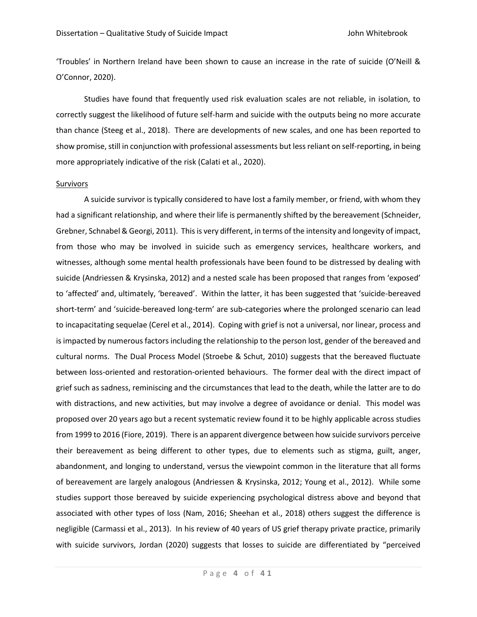'Troubles' in Northern Ireland have been shown to cause an increase in the rate of suicide (O'Neill & O'Connor, 2020).

Studies have found that frequently used risk evaluation scales are not reliable, in isolation, to correctly suggest the likelihood of future self-harm and suicide with the outputs being no more accurate than chance (Steeg et al., 2018). There are developments of new scales, and one has been reported to show promise, still in conjunction with professional assessments but less reliant on self-reporting, in being more appropriately indicative of the risk (Calati et al., 2020).

## **Survivors**

A suicide survivor is typically considered to have lost a family member, or friend, with whom they had a significant relationship, and where their life is permanently shifted by the bereavement (Schneider, Grebner, Schnabel & Georgi, 2011). This is very different, in terms of the intensity and longevity of impact, from those who may be involved in suicide such as emergency services, healthcare workers, and witnesses, although some mental health professionals have been found to be distressed by dealing with suicide (Andriessen & Krysinska, 2012) and a nested scale has been proposed that ranges from 'exposed' to 'affected' and, ultimately, 'bereaved'. Within the latter, it has been suggested that 'suicide-bereaved short-term' and 'suicide-bereaved long-term' are sub-categories where the prolonged scenario can lead to incapacitating sequelae (Cerel et al., 2014). Coping with grief is not a universal, nor linear, process and is impacted by numerous factors including the relationship to the person lost, gender of the bereaved and cultural norms. The Dual Process Model (Stroebe & Schut, 2010) suggests that the bereaved fluctuate between loss-oriented and restoration-oriented behaviours. The former deal with the direct impact of grief such as sadness, reminiscing and the circumstances that lead to the death, while the latter are to do with distractions, and new activities, but may involve a degree of avoidance or denial. This model was proposed over 20 years ago but a recent systematic review found it to be highly applicable across studies from 1999 to 2016 (Fiore, 2019). There is an apparent divergence between how suicide survivors perceive their bereavement as being different to other types, due to elements such as stigma, guilt, anger, abandonment, and longing to understand, versus the viewpoint common in the literature that all forms of bereavement are largely analogous (Andriessen & Krysinska, 2012; Young et al., 2012). While some studies support those bereaved by suicide experiencing psychological distress above and beyond that associated with other types of loss (Nam, 2016; Sheehan et al., 2018) others suggest the difference is negligible (Carmassi et al., 2013). In his review of 40 years of US grief therapy private practice, primarily with suicide survivors, Jordan (2020) suggests that losses to suicide are differentiated by "perceived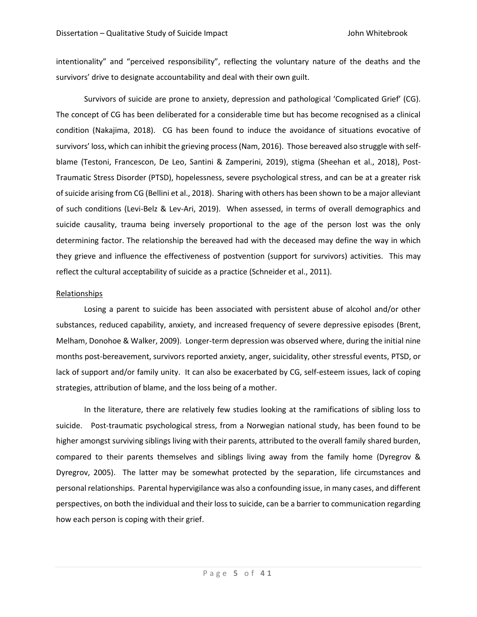intentionality" and "perceived responsibility", reflecting the voluntary nature of the deaths and the survivors' drive to designate accountability and deal with their own guilt.

Survivors of suicide are prone to anxiety, depression and pathological 'Complicated Grief' (CG). The concept of CG has been deliberated for a considerable time but has become recognised as a clinical condition (Nakajima, 2018). CG has been found to induce the avoidance of situations evocative of survivors' loss, which can inhibit the grieving process (Nam, 2016). Those bereaved also struggle with selfblame (Testoni, Francescon, De Leo, Santini & Zamperini, 2019), stigma (Sheehan et al., 2018), Post-Traumatic Stress Disorder (PTSD), hopelessness, severe psychological stress, and can be at a greater risk of suicide arising from CG (Bellini et al., 2018). Sharing with others has been shown to be a major alleviant of such conditions (Levi-Belz & Lev-Ari, 2019). When assessed, in terms of overall demographics and suicide causality, trauma being inversely proportional to the age of the person lost was the only determining factor. The relationship the bereaved had with the deceased may define the way in which they grieve and influence the effectiveness of postvention (support for survivors) activities. This may reflect the cultural acceptability of suicide as a practice (Schneider et al., 2011).

## Relationships

Losing a parent to suicide has been associated with persistent abuse of alcohol and/or other substances, reduced capability, anxiety, and increased frequency of severe depressive episodes (Brent, Melham, Donohoe & Walker, 2009). Longer-term depression was observed where, during the initial nine months post-bereavement, survivors reported anxiety, anger, suicidality, other stressful events, PTSD, or lack of support and/or family unity. It can also be exacerbated by CG, self-esteem issues, lack of coping strategies, attribution of blame, and the loss being of a mother.

In the literature, there are relatively few studies looking at the ramifications of sibling loss to suicide. Post-traumatic psychological stress, from a Norwegian national study, has been found to be higher amongst surviving siblings living with their parents, attributed to the overall family shared burden, compared to their parents themselves and siblings living away from the family home (Dyregrov & Dyregrov, 2005). The latter may be somewhat protected by the separation, life circumstances and personal relationships. Parental hypervigilance was also a confounding issue, in many cases, and different perspectives, on both the individual and their loss to suicide, can be a barrier to communication regarding how each person is coping with their grief.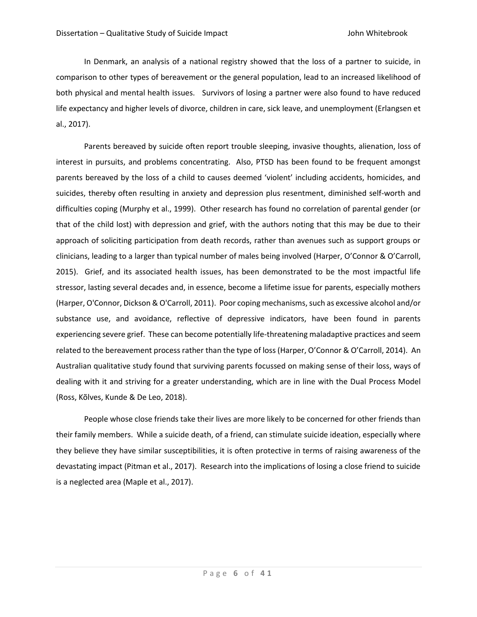In Denmark, an analysis of a national registry showed that the loss of a partner to suicide, in comparison to other types of bereavement or the general population, lead to an increased likelihood of both physical and mental health issues. Survivors of losing a partner were also found to have reduced life expectancy and higher levels of divorce, children in care, sick leave, and unemployment (Erlangsen et al., 2017).

Parents bereaved by suicide often report trouble sleeping, invasive thoughts, alienation, loss of interest in pursuits, and problems concentrating. Also, PTSD has been found to be frequent amongst parents bereaved by the loss of a child to causes deemed 'violent' including accidents, homicides, and suicides, thereby often resulting in anxiety and depression plus resentment, diminished self-worth and difficulties coping (Murphy et al., 1999). Other research has found no correlation of parental gender (or that of the child lost) with depression and grief, with the authors noting that this may be due to their approach of soliciting participation from death records, rather than avenues such as support groups or clinicians, leading to a larger than typical number of males being involved (Harper, O'Connor & O'Carroll, 2015). Grief, and its associated health issues, has been demonstrated to be the most impactful life stressor, lasting several decades and, in essence, become a lifetime issue for parents, especially mothers (Harper, O'Connor, Dickson & O'Carroll, 2011). Poor coping mechanisms, such as excessive alcohol and/or substance use, and avoidance, reflective of depressive indicators, have been found in parents experiencing severe grief. These can become potentially life-threatening maladaptive practices and seem related to the bereavement process rather than the type of loss (Harper, O'Connor & O'Carroll, 2014). An Australian qualitative study found that surviving parents focussed on making sense of their loss, ways of dealing with it and striving for a greater understanding, which are in line with the Dual Process Model (Ross, Kõlves, Kunde & De Leo, 2018).

People whose close friends take their lives are more likely to be concerned for other friends than their family members. While a suicide death, of a friend, can stimulate suicide ideation, especially where they believe they have similar susceptibilities, it is often protective in terms of raising awareness of the devastating impact (Pitman et al., 2017). Research into the implications of losing a close friend to suicide is a neglected area (Maple et al., 2017).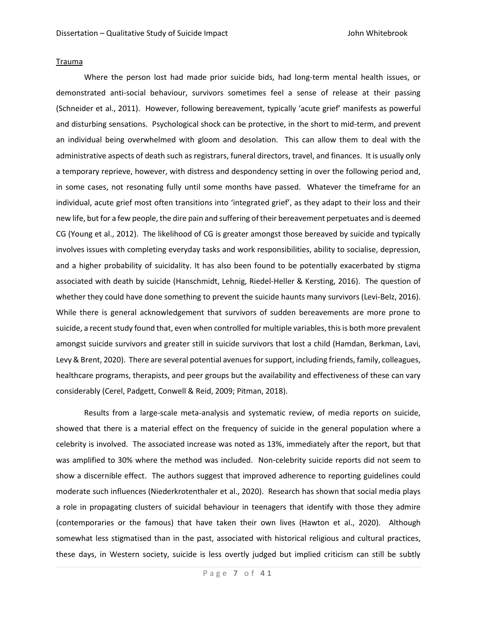#### Trauma

Where the person lost had made prior suicide bids, had long-term mental health issues, or demonstrated anti-social behaviour, survivors sometimes feel a sense of release at their passing (Schneider et al., 2011). However, following bereavement, typically 'acute grief' manifests as powerful and disturbing sensations. Psychological shock can be protective, in the short to mid-term, and prevent an individual being overwhelmed with gloom and desolation. This can allow them to deal with the administrative aspects of death such as registrars, funeral directors, travel, and finances. It is usually only a temporary reprieve, however, with distress and despondency setting in over the following period and, in some cases, not resonating fully until some months have passed. Whatever the timeframe for an individual, acute grief most often transitions into 'integrated grief', as they adapt to their loss and their new life, but for a few people, the dire pain and suffering of their bereavement perpetuates and is deemed CG (Young et al., 2012). The likelihood of CG is greater amongst those bereaved by suicide and typically involves issues with completing everyday tasks and work responsibilities, ability to socialise, depression, and a higher probability of suicidality. It has also been found to be potentially exacerbated by stigma associated with death by suicide (Hanschmidt, Lehnig, Riedel-Heller & Kersting, 2016). The question of whether they could have done something to prevent the suicide haunts many survivors (Levi-Belz, 2016). While there is general acknowledgement that survivors of sudden bereavements are more prone to suicide, a recent study found that, even when controlled for multiple variables, this is both more prevalent amongst suicide survivors and greater still in suicide survivors that lost a child (Hamdan, Berkman, Lavi, Levy & Brent, 2020). There are several potential avenues for support, including friends, family, colleagues, healthcare programs, therapists, and peer groups but the availability and effectiveness of these can vary considerably (Cerel, Padgett, Conwell & Reid, 2009; Pitman, 2018).

Results from a large-scale meta-analysis and systematic review, of media reports on suicide, showed that there is a material effect on the frequency of suicide in the general population where a celebrity is involved. The associated increase was noted as 13%, immediately after the report, but that was amplified to 30% where the method was included. Non-celebrity suicide reports did not seem to show a discernible effect. The authors suggest that improved adherence to reporting guidelines could moderate such influences (Niederkrotenthaler et al., 2020). Research has shown that social media plays a role in propagating clusters of suicidal behaviour in teenagers that identify with those they admire (contemporaries or the famous) that have taken their own lives (Hawton et al., 2020). Although somewhat less stigmatised than in the past, associated with historical religious and cultural practices, these days, in Western society, suicide is less overtly judged but implied criticism can still be subtly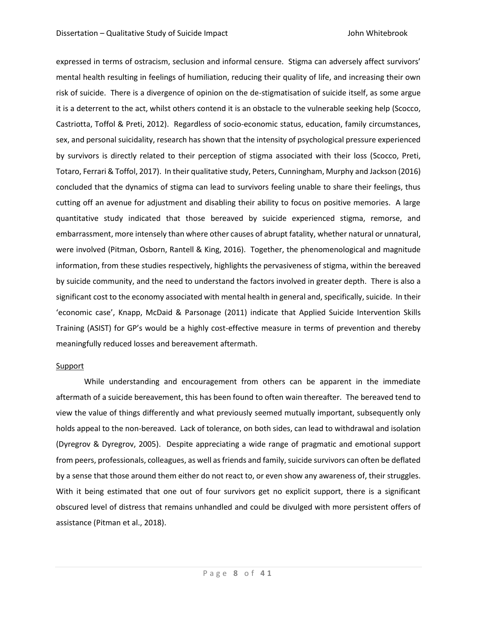expressed in terms of ostracism, seclusion and informal censure. Stigma can adversely affect survivors' mental health resulting in feelings of humiliation, reducing their quality of life, and increasing their own risk of suicide. There is a divergence of opinion on the de-stigmatisation of suicide itself, as some argue it is a deterrent to the act, whilst others contend it is an obstacle to the vulnerable seeking help (Scocco, Castriotta, Toffol & Preti, 2012). Regardless of socio-economic status, education, family circumstances, sex, and personal suicidality, research has shown that the intensity of psychological pressure experienced by survivors is directly related to their perception of stigma associated with their loss (Scocco, Preti, Totaro, Ferrari & Toffol, 2017). In their qualitative study, Peters, Cunningham, Murphy and Jackson (2016) concluded that the dynamics of stigma can lead to survivors feeling unable to share their feelings, thus cutting off an avenue for adjustment and disabling their ability to focus on positive memories. A large quantitative study indicated that those bereaved by suicide experienced stigma, remorse, and embarrassment, more intensely than where other causes of abrupt fatality, whether natural or unnatural, were involved (Pitman, Osborn, Rantell & King, 2016). Together, the phenomenological and magnitude information, from these studies respectively, highlights the pervasiveness of stigma, within the bereaved by suicide community, and the need to understand the factors involved in greater depth. There is also a significant cost to the economy associated with mental health in general and, specifically, suicide. In their 'economic case', Knapp, McDaid & Parsonage (2011) indicate that Applied Suicide Intervention Skills Training (ASIST) for GP's would be a highly cost-effective measure in terms of prevention and thereby meaningfully reduced losses and bereavement aftermath.

#### **Support**

While understanding and encouragement from others can be apparent in the immediate aftermath of a suicide bereavement, this has been found to often wain thereafter. The bereaved tend to view the value of things differently and what previously seemed mutually important, subsequently only holds appeal to the non-bereaved. Lack of tolerance, on both sides, can lead to withdrawal and isolation (Dyregrov & Dyregrov, 2005). Despite appreciating a wide range of pragmatic and emotional support from peers, professionals, colleagues, as well as friends and family, suicide survivors can often be deflated by a sense that those around them either do not react to, or even show any awareness of, their struggles. With it being estimated that one out of four survivors get no explicit support, there is a significant obscured level of distress that remains unhandled and could be divulged with more persistent offers of assistance (Pitman et al., 2018).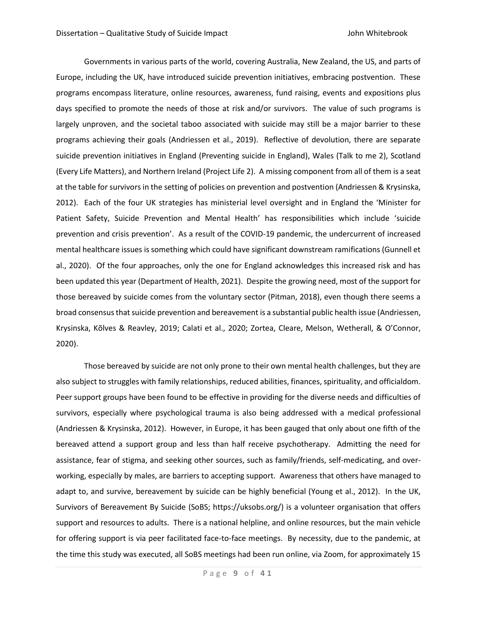Governments in various parts of the world, covering Australia, New Zealand, the US, and parts of Europe, including the UK, have introduced suicide prevention initiatives, embracing postvention. These programs encompass literature, online resources, awareness, fund raising, events and expositions plus days specified to promote the needs of those at risk and/or survivors. The value of such programs is largely unproven, and the societal taboo associated with suicide may still be a major barrier to these programs achieving their goals (Andriessen et al., 2019). Reflective of devolution, there are separate suicide prevention initiatives in England (Preventing suicide in England), Wales (Talk to me 2), Scotland (Every Life Matters), and Northern Ireland (Project Life 2). A missing component from all of them is a seat at the table for survivors in the setting of policies on prevention and postvention (Andriessen & Krysinska, 2012). Each of the four UK strategies has ministerial level oversight and in England the 'Minister for Patient Safety, Suicide Prevention and Mental Health' has responsibilities which include 'suicide prevention and crisis prevention'. As a result of the COVID-19 pandemic, the undercurrent of increased mental healthcare issues is something which could have significant downstream ramifications (Gunnell et al., 2020). Of the four approaches, only the one for England acknowledges this increased risk and has been updated this year (Department of Health, 2021). Despite the growing need, most of the support for those bereaved by suicide comes from the voluntary sector (Pitman, 2018), even though there seems a broad consensus that suicide prevention and bereavement is a substantial public health issue (Andriessen, Krysinska, Kõlves & Reavley, 2019; Calati et al., 2020; Zortea, Cleare, Melson, Wetherall, & O'Connor, 2020).

Those bereaved by suicide are not only prone to their own mental health challenges, but they are also subject to struggles with family relationships, reduced abilities, finances, spirituality, and officialdom. Peer support groups have been found to be effective in providing for the diverse needs and difficulties of survivors, especially where psychological trauma is also being addressed with a medical professional (Andriessen & Krysinska, 2012). However, in Europe, it has been gauged that only about one fifth of the bereaved attend a support group and less than half receive psychotherapy. Admitting the need for assistance, fear of stigma, and seeking other sources, such as family/friends, self-medicating, and overworking, especially by males, are barriers to accepting support. Awareness that others have managed to adapt to, and survive, bereavement by suicide can be highly beneficial (Young et al., 2012). In the UK, Survivors of Bereavement By Suicide (SoBS; https://uksobs.org/) is a volunteer organisation that offers support and resources to adults. There is a national helpline, and online resources, but the main vehicle for offering support is via peer facilitated face-to-face meetings. By necessity, due to the pandemic, at the time this study was executed, all SoBS meetings had been run online, via Zoom, for approximately 15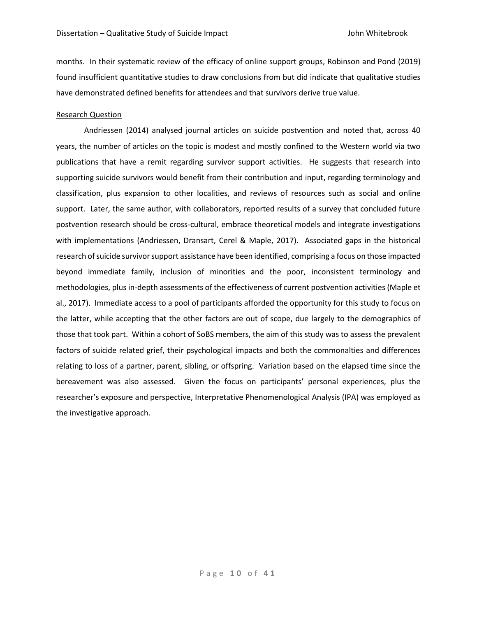months. In their systematic review of the efficacy of online support groups, Robinson and Pond (2019) found insufficient quantitative studies to draw conclusions from but did indicate that qualitative studies have demonstrated defined benefits for attendees and that survivors derive true value.

## Research Question

Andriessen (2014) analysed journal articles on suicide postvention and noted that, across 40 years, the number of articles on the topic is modest and mostly confined to the Western world via two publications that have a remit regarding survivor support activities. He suggests that research into supporting suicide survivors would benefit from their contribution and input, regarding terminology and classification, plus expansion to other localities, and reviews of resources such as social and online support. Later, the same author, with collaborators, reported results of a survey that concluded future postvention research should be cross-cultural, embrace theoretical models and integrate investigations with implementations (Andriessen, Dransart, Cerel & Maple, 2017). Associated gaps in the historical research of suicide survivor support assistance have been identified, comprising a focus on those impacted beyond immediate family, inclusion of minorities and the poor, inconsistent terminology and methodologies, plus in-depth assessments of the effectiveness of current postvention activities (Maple et al., 2017). Immediate access to a pool of participants afforded the opportunity for this study to focus on the latter, while accepting that the other factors are out of scope, due largely to the demographics of those that took part. Within a cohort of SoBS members, the aim of this study was to assess the prevalent factors of suicide related grief, their psychological impacts and both the commonalties and differences relating to loss of a partner, parent, sibling, or offspring. Variation based on the elapsed time since the bereavement was also assessed. Given the focus on participants' personal experiences, plus the researcher's exposure and perspective, Interpretative Phenomenological Analysis (IPA) was employed as the investigative approach.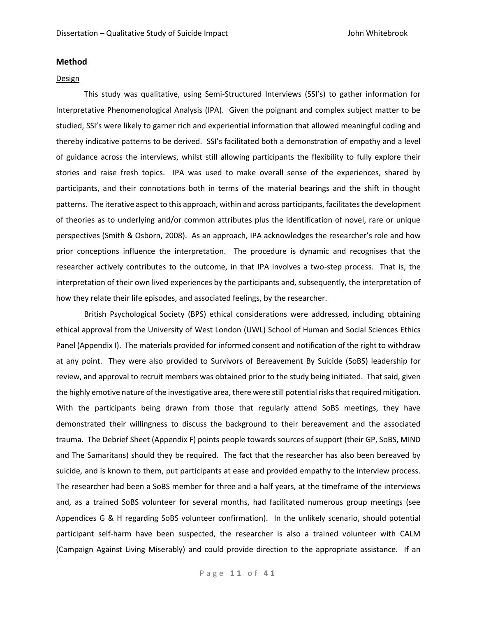## **Method**

#### Design

This study was qualitative, using Semi-Structured Interviews (SSI's) to gather information for Interpretative Phenomenological Analysis (IPA). Given the poignant and complex subject matter to be studied, SSI's were likely to garner rich and experiential information that allowed meaningful coding and thereby indicative patterns to be derived. SSI's facilitated both a demonstration of empathy and a level of guidance across the interviews, whilst still allowing participants the flexibility to fully explore their stories and raise fresh topics. IPA was used to make overall sense of the experiences, shared by participants, and their connotations both in terms of the material bearings and the shift in thought patterns. The iterative aspect to this approach, within and across participants, facilitates the development of theories as to underlying and/or common attributes plus the identification of novel, rare or unique perspectives (Smith & Osborn, 2008). As an approach, IPA acknowledges the researcher's role and how prior conceptions influence the interpretation. The procedure is dynamic and recognises that the researcher actively contributes to the outcome, in that IPA involves a two-step process. That is, the interpretation of their own lived experiences by the participants and, subsequently, the interpretation of how they relate their life episodes, and associated feelings, by the researcher.

British Psychological Society (BPS) ethical considerations were addressed, including obtaining ethical approval from the University of West London (UWL) School of Human and Social Sciences Ethics Panel (Appendix I). The materials provided for informed consent and notification of the right to withdraw at any point. They were also provided to Survivors of Bereavement By Suicide (SoBS) leadership for review, and approval to recruit members was obtained prior to the study being initiated. That said, given the highly emotive nature of the investigative area, there were still potential risks that required mitigation. With the participants being drawn from those that regularly attend SoBS meetings, they have demonstrated their willingness to discuss the background to their bereavement and the associated trauma. The Debrief Sheet (Appendix F) points people towards sources of support (their GP, SoBS, MIND and The Samaritans) should they be required. The fact that the researcher has also been bereaved by suicide, and is known to them, put participants at ease and provided empathy to the interview process. The researcher had been a SoBS member for three and a half years, at the timeframe of the interviews and, as a trained SoBS volunteer for several months, had facilitated numerous group meetings (see Appendices G & H regarding SoBS volunteer confirmation). In the unlikely scenario, should potential participant self-harm have been suspected, the researcher is also a trained volunteer with CALM (Campaign Against Living Miserably) and could provide direction to the appropriate assistance. If an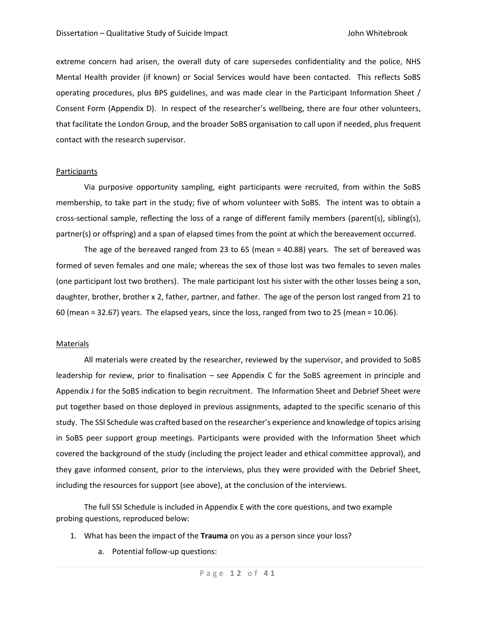extreme concern had arisen, the overall duty of care supersedes confidentiality and the police, NHS Mental Health provider (if known) or Social Services would have been contacted. This reflects SoBS operating procedures, plus BPS guidelines, and was made clear in the Participant Information Sheet / Consent Form (Appendix D). In respect of the researcher's wellbeing, there are four other volunteers, that facilitate the London Group, and the broader SoBS organisation to call upon if needed, plus frequent contact with the research supervisor.

## **Participants**

Via purposive opportunity sampling, eight participants were recruited, from within the SoBS membership, to take part in the study; five of whom volunteer with SoBS. The intent was to obtain a cross-sectional sample, reflecting the loss of a range of different family members (parent(s), sibling(s), partner(s) or offspring) and a span of elapsed times from the point at which the bereavement occurred.

The age of the bereaved ranged from 23 to 65 (mean = 40.88) years. The set of bereaved was formed of seven females and one male; whereas the sex of those lost was two females to seven males (one participant lost two brothers). The male participant lost his sister with the other losses being a son, daughter, brother, brother x 2, father, partner, and father. The age of the person lost ranged from 21 to 60 (mean = 32.67) years. The elapsed years, since the loss, ranged from two to 25 (mean = 10.06).

#### Materials

All materials were created by the researcher, reviewed by the supervisor, and provided to SoBS leadership for review, prior to finalisation – see Appendix C for the SoBS agreement in principle and Appendix J for the SoBS indication to begin recruitment. The Information Sheet and Debrief Sheet were put together based on those deployed in previous assignments, adapted to the specific scenario of this study. The SSI Schedule was crafted based on the researcher's experience and knowledge of topics arising in SoBS peer support group meetings. Participants were provided with the Information Sheet which covered the background of the study (including the project leader and ethical committee approval), and they gave informed consent, prior to the interviews, plus they were provided with the Debrief Sheet, including the resources for support (see above), at the conclusion of the interviews.

The full SSI Schedule is included in Appendix E with the core questions, and two example probing questions, reproduced below:

- 1. What has been the impact of the **Trauma** on you as a person since your loss?
	- a. Potential follow-up questions: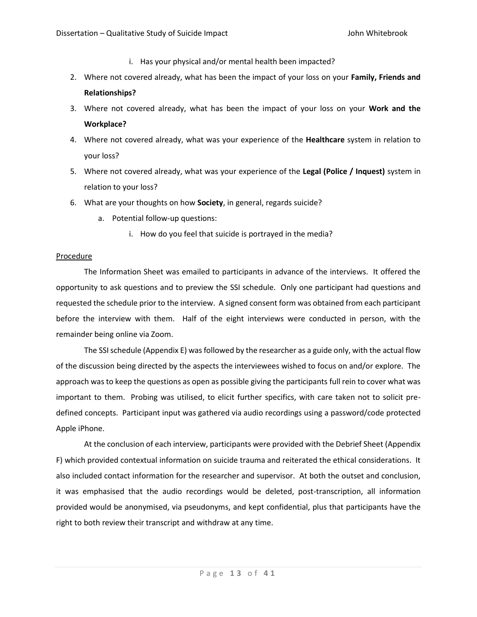- i. Has your physical and/or mental health been impacted?
- 2. Where not covered already, what has been the impact of your loss on your **Family, Friends and Relationships?**
- 3. Where not covered already, what has been the impact of your loss on your **Work and the Workplace?**
- 4. Where not covered already, what was your experience of the **Healthcare** system in relation to your loss?
- 5. Where not covered already, what was your experience of the **Legal (Police / Inquest)** system in relation to your loss?
- 6. What are your thoughts on how **Society**, in general, regards suicide?
	- a. Potential follow-up questions:
		- i. How do you feel that suicide is portrayed in the media?

## **Procedure**

The Information Sheet was emailed to participants in advance of the interviews. It offered the opportunity to ask questions and to preview the SSI schedule. Only one participant had questions and requested the schedule prior to the interview. A signed consent form was obtained from each participant before the interview with them. Half of the eight interviews were conducted in person, with the remainder being online via Zoom.

The SSI schedule (Appendix E) was followed by the researcher as a guide only, with the actual flow of the discussion being directed by the aspects the interviewees wished to focus on and/or explore. The approach was to keep the questions as open as possible giving the participants full rein to cover what was important to them. Probing was utilised, to elicit further specifics, with care taken not to solicit predefined concepts. Participant input was gathered via audio recordings using a password/code protected Apple iPhone.

At the conclusion of each interview, participants were provided with the Debrief Sheet (Appendix F) which provided contextual information on suicide trauma and reiterated the ethical considerations. It also included contact information for the researcher and supervisor. At both the outset and conclusion, it was emphasised that the audio recordings would be deleted, post-transcription, all information provided would be anonymised, via pseudonyms, and kept confidential, plus that participants have the right to both review their transcript and withdraw at any time.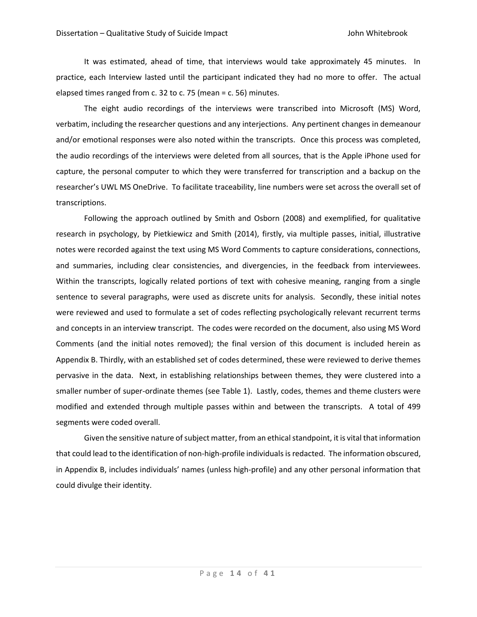It was estimated, ahead of time, that interviews would take approximately 45 minutes. In practice, each Interview lasted until the participant indicated they had no more to offer. The actual elapsed times ranged from c. 32 to c. 75 (mean = c. 56) minutes.

The eight audio recordings of the interviews were transcribed into Microsoft (MS) Word, verbatim, including the researcher questions and any interjections. Any pertinent changes in demeanour and/or emotional responses were also noted within the transcripts. Once this process was completed, the audio recordings of the interviews were deleted from all sources, that is the Apple iPhone used for capture, the personal computer to which they were transferred for transcription and a backup on the researcher's UWL MS OneDrive. To facilitate traceability, line numbers were set across the overall set of transcriptions.

Following the approach outlined by Smith and Osborn (2008) and exemplified, for qualitative research in psychology, by Pietkiewicz and Smith (2014), firstly, via multiple passes, initial, illustrative notes were recorded against the text using MS Word Comments to capture considerations, connections, and summaries, including clear consistencies, and divergencies, in the feedback from interviewees. Within the transcripts, logically related portions of text with cohesive meaning, ranging from a single sentence to several paragraphs, were used as discrete units for analysis. Secondly, these initial notes were reviewed and used to formulate a set of codes reflecting psychologically relevant recurrent terms and concepts in an interview transcript. The codes were recorded on the document, also using MS Word Comments (and the initial notes removed); the final version of this document is included herein as Appendix B. Thirdly, with an established set of codes determined, these were reviewed to derive themes pervasive in the data. Next, in establishing relationships between themes, they were clustered into a smaller number of super-ordinate themes (see Table 1). Lastly, codes, themes and theme clusters were modified and extended through multiple passes within and between the transcripts. A total of 499 segments were coded overall.

Given the sensitive nature of subject matter, from an ethical standpoint, it is vital that information that could lead to the identification of non-high-profile individuals is redacted. The information obscured, in Appendix B, includes individuals' names (unless high-profile) and any other personal information that could divulge their identity.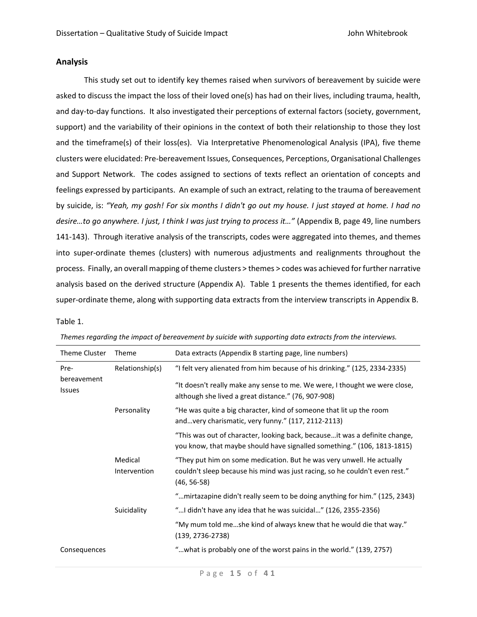# **Analysis**

This study set out to identify key themes raised when survivors of bereavement by suicide were asked to discuss the impact the loss of their loved one(s) has had on their lives, including trauma, health, and day-to-day functions. It also investigated their perceptions of external factors (society, government, support) and the variability of their opinions in the context of both their relationship to those they lost and the timeframe(s) of their loss(es). Via Interpretative Phenomenological Analysis (IPA), five theme clusters were elucidated: Pre-bereavement Issues, Consequences, Perceptions, Organisational Challenges and Support Network. The codes assigned to sections of texts reflect an orientation of concepts and feelings expressed by participants. An example of such an extract, relating to the trauma of bereavement by suicide, is: *"Yeah, my gosh! For six months I didn't go out my house. I just stayed at home. I had no desire…to go anywhere. I just, I think I was just trying to process it…"* (Appendix B, page 49, line numbers 141-143). Through iterative analysis of the transcripts, codes were aggregated into themes, and themes into super-ordinate themes (clusters) with numerous adjustments and realignments throughout the process. Finally, an overall mapping of theme clusters > themes > codes was achieved for further narrative analysis based on the derived structure (Appendix A). Table 1 presents the themes identified, for each super-ordinate theme, along with supporting data extracts from the interview transcripts in Appendix B.

## Table 1.

| Theme Cluster                        | Theme                   | Data extracts (Appendix B starting page, line numbers)                                                                                                                                                          |
|--------------------------------------|-------------------------|-----------------------------------------------------------------------------------------------------------------------------------------------------------------------------------------------------------------|
| Pre-<br>bereavement<br><b>Issues</b> | Relationship(s)         | "I felt very alienated from him because of his drinking." (125, 2334-2335)<br>"It doesn't really make any sense to me. We were, I thought we were close,<br>although she lived a great distance." (76, 907-908) |
|                                      | Personality             | "He was quite a big character, kind of someone that lit up the room<br>andvery charismatic, very funny." (117, 2112-2113)                                                                                       |
|                                      |                         | "This was out of character, looking back, becauseit was a definite change,<br>you know, that maybe should have signalled something." (106, 1813-1815)                                                           |
|                                      | Medical<br>Intervention | "They put him on some medication. But he was very unwell. He actually<br>couldn't sleep because his mind was just racing, so he couldn't even rest."<br>$(46, 56-58)$                                           |
|                                      |                         | "mirtazapine didn't really seem to be doing anything for him." (125, 2343)                                                                                                                                      |
|                                      | Suicidality             | "I didn't have any idea that he was suicidal" (126, 2355-2356)                                                                                                                                                  |
|                                      |                         | "My mum told meshe kind of always knew that he would die that way."<br>$(139, 2736 - 2738)$                                                                                                                     |
| Consequences                         |                         | "what is probably one of the worst pains in the world." (139, 2757)                                                                                                                                             |

|  |  |  |  |  |  |  | Themes regarding the impact of bereavement by suicide with supporting data extracts from the interviews. |
|--|--|--|--|--|--|--|----------------------------------------------------------------------------------------------------------|
|--|--|--|--|--|--|--|----------------------------------------------------------------------------------------------------------|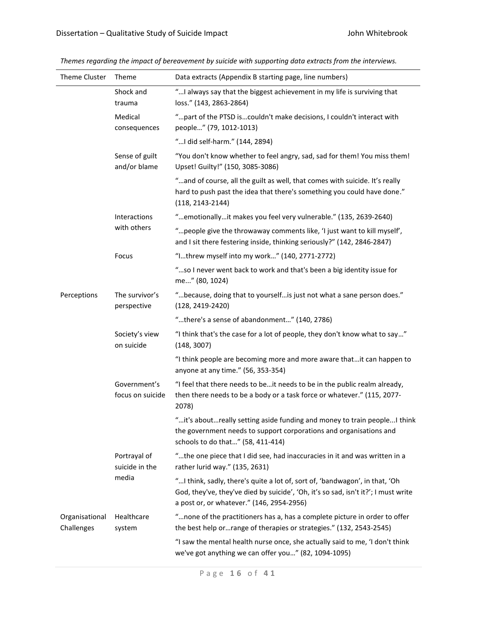| Theme Cluster                | Theme                            | Data extracts (Appendix B starting page, line numbers)                                                                                                                                                         |
|------------------------------|----------------------------------|----------------------------------------------------------------------------------------------------------------------------------------------------------------------------------------------------------------|
|                              | Shock and<br>trauma              | " I always say that the biggest achievement in my life is surviving that<br>loss." (143, 2863-2864)                                                                                                            |
|                              | Medical<br>consequences          | "part of the PTSD iscouldn't make decisions, I couldn't interact with<br>people" (79, 1012-1013)                                                                                                               |
|                              |                                  | " I did self-harm." (144, 2894)                                                                                                                                                                                |
|                              | Sense of guilt<br>and/or blame   | "You don't know whether to feel angry, sad, sad for them! You miss them!<br>Upset! Guilty!" (150, 3085-3086)                                                                                                   |
|                              |                                  | "and of course, all the guilt as well, that comes with suicide. It's really<br>hard to push past the idea that there's something you could have done."<br>$(118, 2143 - 2144)$                                 |
|                              | Interactions                     | "emotionallyit makes you feel very vulnerable." (135, 2639-2640)                                                                                                                                               |
| with others<br>Focus         |                                  | " people give the throwaway comments like, 'I just want to kill myself',<br>and I sit there festering inside, thinking seriously?" (142, 2846-2847)                                                            |
|                              |                                  | "Ithrew myself into my work" (140, 2771-2772)                                                                                                                                                                  |
|                              |                                  | "so I never went back to work and that's been a big identity issue for<br>me" (80, 1024)                                                                                                                       |
| Perceptions                  | The survivor's<br>perspective    | "because, doing that to yourself is just not what a sane person does."<br>$(128, 2419 - 2420)$                                                                                                                 |
|                              |                                  | "there's a sense of abandonment" (140, 2786)                                                                                                                                                                   |
|                              | Society's view<br>on suicide     | "I think that's the case for a lot of people, they don't know what to say"<br>(148, 3007)                                                                                                                      |
|                              |                                  | "I think people are becoming more and more aware thatit can happen to<br>anyone at any time." (56, 353-354)                                                                                                    |
|                              | Government's<br>focus on suicide | "I feel that there needs to beit needs to be in the public realm already,<br>then there needs to be a body or a task force or whatever." (115, 2077-<br>2078)                                                  |
|                              |                                  | "it's aboutreally setting aside funding and money to train people! think<br>the government needs to support corporations and organisations and<br>schools to do that" (58, 411-414)                            |
|                              | Portrayal of<br>suicide in the   | "the one piece that I did see, had inaccuracies in it and was written in a<br>rather lurid way." (135, 2631)                                                                                                   |
|                              | media                            | "I think, sadly, there's quite a lot of, sort of, 'bandwagon', in that, 'Oh<br>God, they've, they've died by suicide', 'Oh, it's so sad, isn't it?'; I must write<br>a post or, or whatever." (146, 2954-2956) |
| Organisational<br>Challenges | Healthcare<br>system             | " none of the practitioners has a, has a complete picture in order to offer<br>the best help orrange of therapies or strategies." (132, 2543-2545)                                                             |
|                              |                                  | "I saw the mental health nurse once, she actually said to me, 'I don't think<br>we've got anything we can offer you" (82, 1094-1095)                                                                           |

*Themes regarding the impact of bereavement by suicide with supporting data extracts from the interviews.*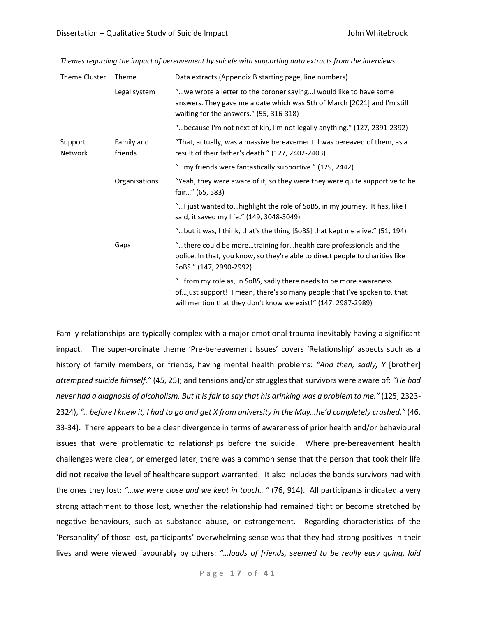|  | Theme Cluster      | Theme                 | Data extracts (Appendix B starting page, line numbers)                                                                                                                                                          |
|--|--------------------|-----------------------|-----------------------------------------------------------------------------------------------------------------------------------------------------------------------------------------------------------------|
|  |                    | Legal system          | "we wrote a letter to the coroner sayingI would like to have some<br>answers. They gave me a date which was 5th of March [2021] and I'm still<br>waiting for the answers." (55, 316-318)                        |
|  |                    |                       | "because I'm not next of kin, I'm not legally anything." (127, 2391-2392)                                                                                                                                       |
|  | Support<br>Network | Family and<br>friends | "That, actually, was a massive bereavement. I was bereaved of them, as a<br>result of their father's death." (127, 2402-2403)                                                                                   |
|  |                    |                       | "my friends were fantastically supportive." (129, 2442)                                                                                                                                                         |
|  |                    | Organisations         | "Yeah, they were aware of it, so they were they were quite supportive to be<br>fair" (65, 583)                                                                                                                  |
|  |                    |                       | " I just wanted to highlight the role of SoBS, in my journey. It has, like I<br>said, it saved my life." (149, 3048-3049)                                                                                       |
|  |                    |                       | "but it was, I think, that's the thing [SoBS] that kept me alive." (51, 194)                                                                                                                                    |
|  |                    | Gaps                  | "there could be moretraining forhealth care professionals and the<br>police. In that, you know, so they're able to direct people to charities like<br>SoBS." (147, 2990-2992)                                   |
|  |                    |                       | " from my role as, in SoBS, sadly there needs to be more awareness<br>ofjust support! I mean, there's so many people that I've spoken to, that<br>will mention that they don't know we exist!" (147, 2987-2989) |

*Themes regarding the impact of bereavement by suicide with supporting data extracts from the interviews.*

Family relationships are typically complex with a major emotional trauma inevitably having a significant impact. The super-ordinate theme 'Pre-bereavement Issues' covers 'Relationship' aspects such as a history of family members, or friends, having mental health problems: *"And then, sadly, Y* [brother] *attempted suicide himself."* (45, 25); and tensions and/or struggles that survivors were aware of: *"He had never had a diagnosis of alcoholism. But it is fair to say that his drinking was a problem to me."* (125, 2323- 2324), *"…before I knew it, I had to go and get X from university in the May…he'd completely crashed."* (46, 33-34).There appears to be a clear divergence in terms of awareness of prior health and/or behavioural issues that were problematic to relationships before the suicide. Where pre-bereavement health challenges were clear, or emerged later, there was a common sense that the person that took their life did not receive the level of healthcare support warranted. It also includes the bonds survivors had with the ones they lost: *"…we were close and we kept in touch…"* (76, 914). All participants indicated a very strong attachment to those lost, whether the relationship had remained tight or become stretched by negative behaviours, such as substance abuse, or estrangement. Regarding characteristics of the 'Personality' of those lost, participants' overwhelming sense was that they had strong positives in their lives and were viewed favourably by others: *"…loads of friends, seemed to be really easy going, laid*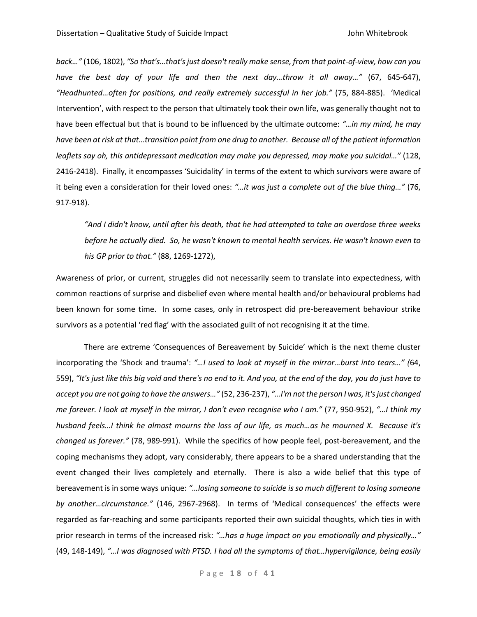*back…"* (106, 1802), *"So that's…that's just doesn't really make sense, from that point-of-view, how can you have the best day of your life and then the next day…throw it all away…"* (67, 645-647), *"Headhunted…often for positions, and really extremely successful in her job."* (75, 884-885). 'Medical Intervention', with respect to the person that ultimately took their own life, was generally thought not to have been effectual but that is bound to be influenced by the ultimate outcome: *"…in my mind, he may have been at risk at that…transition point from one drug to another. Because all of the patient information leaflets say oh, this antidepressant medication may make you depressed, may make you suicidal…"* (128, 2416-2418). Finally, it encompasses 'Suicidality' in terms of the extent to which survivors were aware of it being even a consideration for their loved ones: *"…it was just a complete out of the blue thing…"* (76, 917-918).

*"And I didn't know, until after his death, that he had attempted to take an overdose three weeks before he actually died. So, he wasn't known to mental health services. He wasn't known even to his GP prior to that."* (88, 1269-1272),

Awareness of prior, or current, struggles did not necessarily seem to translate into expectedness, with common reactions of surprise and disbelief even where mental health and/or behavioural problems had been known for some time. In some cases, only in retrospect did pre-bereavement behaviour strike survivors as a potential 'red flag' with the associated guilt of not recognising it at the time.

There are extreme 'Consequences of Bereavement by Suicide' which is the next theme cluster incorporating the 'Shock and trauma': *"…I used to look at myself in the mirror…burst into tears…" (*64, 559), *"It's just like this big void and there's no end to it. And you, at the end of the day, you do just have to accept you are not going to have the answers…"* (52, 236-237), *"…I'm not the person I was, it's just changed me forever. I look at myself in the mirror, I don't even recognise who I am."* (77, 950-952), *"…I think my husband feels…I think he almost mourns the loss of our life, as much…as he mourned X. Because it's changed us forever."* (78, 989-991). While the specifics of how people feel, post-bereavement, and the coping mechanisms they adopt, vary considerably, there appears to be a shared understanding that the event changed their lives completely and eternally. There is also a wide belief that this type of bereavement is in some ways unique: *"…losing someone to suicide is so much different to losing someone by another…circumstance."* (146, 2967-2968). In terms of 'Medical consequences' the effects were regarded as far-reaching and some participants reported their own suicidal thoughts, which ties in with prior research in terms of the increased risk: *"…has a huge impact on you emotionally and physically…"*  (49, 148-149), *"…I was diagnosed with PTSD. I had all the symptoms of that…hypervigilance, being easily*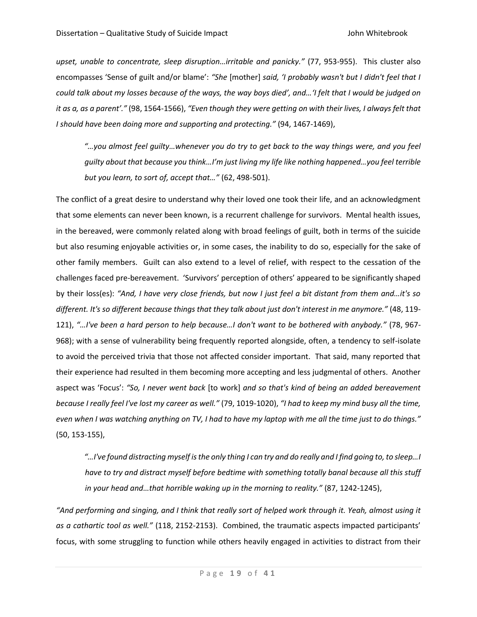*upset, unable to concentrate, sleep disruption…irritable and panicky."* (77, 953-955). This cluster also encompasses 'Sense of guilt and/or blame': *"She* [mother] *said, 'I probably wasn't but I didn't feel that I could talk about my losses because of the ways, the way boys died', and…'I felt that I would be judged on it as a, as a parent'."* (98, 1564-1566), *"Even though they were getting on with their lives, I always felt that I should have been doing more and supporting and protecting."* (94, 1467-1469),

*"…you almost feel guilty…whenever you do try to get back to the way things were, and you feel guilty about that because you think…I'm just living my life like nothing happened…you feel terrible but you learn, to sort of, accept that…"* (62, 498-501).

The conflict of a great desire to understand why their loved one took their life, and an acknowledgment that some elements can never been known, is a recurrent challenge for survivors. Mental health issues, in the bereaved, were commonly related along with broad feelings of guilt, both in terms of the suicide but also resuming enjoyable activities or, in some cases, the inability to do so, especially for the sake of other family members. Guilt can also extend to a level of relief, with respect to the cessation of the challenges faced pre-bereavement. 'Survivors' perception of others' appeared to be significantly shaped by their loss(es): *"And, I have very close friends, but now I just feel a bit distant from them and…it's so different. It's so different because things that they talk about just don't interest in me anymore."* (48, 119- 121), *"…I've been a hard person to help because…I don't want to be bothered with anybody."* (78, 967- 968); with a sense of vulnerability being frequently reported alongside, often, a tendency to self-isolate to avoid the perceived trivia that those not affected consider important. That said, many reported that their experience had resulted in them becoming more accepting and less judgmental of others. Another aspect was 'Focus': *"So, I never went back* [to work] *and so that's kind of being an added bereavement because I really feel I've lost my career as well."* (79, 1019-1020), *"I had to keep my mind busy all the time, even when I was watching anything on TV, I had to have my laptop with me all the time just to do things."* (50, 153-155),

*"…I've found distracting myself is the only thing I can try and do really and I find going to, to sleep…I have to try and distract myself before bedtime with something totally banal because all this stuff in your head and…that horrible waking up in the morning to reality."* (87, 1242-1245),

*"And performing and singing, and I think that really sort of helped work through it. Yeah, almost using it as a cathartic tool as well."* (118, 2152-2153). Combined, the traumatic aspects impacted participants' focus, with some struggling to function while others heavily engaged in activities to distract from their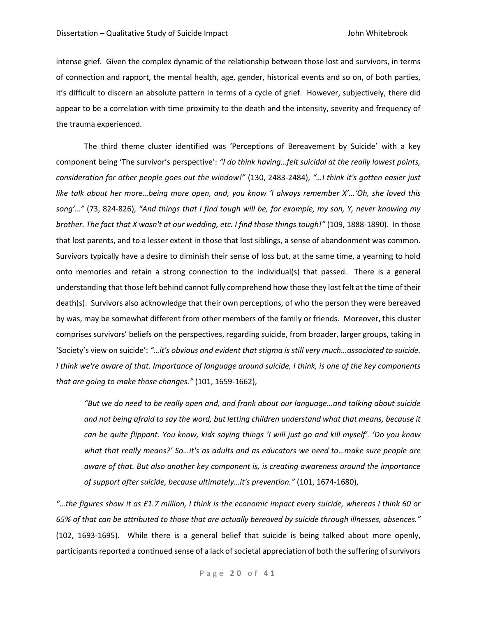intense grief. Given the complex dynamic of the relationship between those lost and survivors, in terms of connection and rapport, the mental health, age, gender, historical events and so on, of both parties, it's difficult to discern an absolute pattern in terms of a cycle of grief. However, subjectively, there did appear to be a correlation with time proximity to the death and the intensity, severity and frequency of the trauma experienced.

The third theme cluster identified was 'Perceptions of Bereavement by Suicide' with a key component being 'The survivor's perspective': *"I do think having…felt suicidal at the really lowest points, consideration for other people goes out the window!"* (130, 2483-2484), *"…I think it's gotten easier just like talk about her more…being more open, and, you know 'I always remember X'…'Oh, she loved this song'…"* (73, 824-826), *"And things that I find tough will be, for example, my son, Y, never knowing my brother. The fact that X wasn't at our wedding, etc. I find those things tough!"* (109, 1888-1890). In those that lost parents, and to a lesser extent in those that lost siblings, a sense of abandonment was common. Survivors typically have a desire to diminish their sense of loss but, at the same time, a yearning to hold onto memories and retain a strong connection to the individual(s) that passed. There is a general understanding that those left behind cannot fully comprehend how those they lost felt at the time of their death(s). Survivors also acknowledge that their own perceptions, of who the person they were bereaved by was, may be somewhat different from other members of the family or friends. Moreover, this cluster comprises survivors' beliefs on the perspectives, regarding suicide, from broader, larger groups, taking in 'Society's view on suicide': *"…it's obvious and evident that stigma is still very much…associated to suicide. I think we're aware of that. Importance of language around suicide, I think, is one of the key components that are going to make those changes."* (101, 1659-1662),

*"But we do need to be really open and, and frank about our language…and talking about suicide and not being afraid to say the word, but letting children understand what that means, because it can be quite flippant. You know, kids saying things 'I will just go and kill myself'. 'Do you know what that really means?' So…it's as adults and as educators we need to…make sure people are aware of that. But also another key component is, is creating awareness around the importance of support after suicide, because ultimately…it's prevention."* (101, 1674-1680),

*"…the figures show it as £1.7 million, I think is the economic impact every suicide, whereas I think 60 or 65% of that can be attributed to those that are actually bereaved by suicide through illnesses, absences."* (102, 1693-1695). While there is a general belief that suicide is being talked about more openly, participants reported a continued sense of a lack of societal appreciation of both the suffering of survivors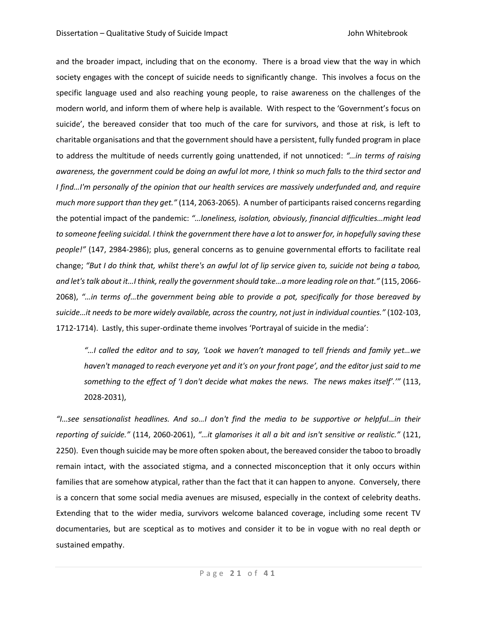and the broader impact, including that on the economy. There is a broad view that the way in which society engages with the concept of suicide needs to significantly change. This involves a focus on the specific language used and also reaching young people, to raise awareness on the challenges of the modern world, and inform them of where help is available. With respect to the 'Government's focus on suicide', the bereaved consider that too much of the care for survivors, and those at risk, is left to charitable organisations and that the government should have a persistent, fully funded program in place to address the multitude of needs currently going unattended, if not unnoticed: *"…in terms of raising awareness, the government could be doing an awful lot more, I think so much falls to the third sector and I find…I'm personally of the opinion that our health services are massively underfunded and, and require much more support than they get."* (114, 2063-2065). A number of participants raised concerns regarding the potential impact of the pandemic: *"…loneliness, isolation, obviously, financial difficulties…might lead to someone feeling suicidal. I think the government there have a lot to answer for, in hopefully saving these people!"* (147, 2984-2986); plus, general concerns as to genuine governmental efforts to facilitate real change; *"But I do think that, whilst there's an awful lot of lip service given to, suicide not being a taboo, and let's talk about it…I think, really the government should take…a more leading role on that."* (115, 2066- 2068), *"…in terms of…the government being able to provide a pot, specifically for those bereaved by suicide…it needs to be more widely available, across the country, not just in individual counties."* (102-103, 1712-1714). Lastly, this super-ordinate theme involves 'Portrayal of suicide in the media':

*"…I called the editor and to say, 'Look we haven't managed to tell friends and family yet…we haven't managed to reach everyone yet and it's on your front page', and the editor just said to me something to the effect of 'I don't decide what makes the news. The news makes itself'.'"* (113, 2028-2031),

*"I…see sensationalist headlines. And so…I don't find the media to be supportive or helpful…in their reporting of suicide."* (114, 2060-2061), *"…it glamorises it all a bit and isn't sensitive or realistic."* (121, 2250). Even though suicide may be more often spoken about, the bereaved consider the taboo to broadly remain intact, with the associated stigma, and a connected misconception that it only occurs within families that are somehow atypical, rather than the fact that it can happen to anyone. Conversely, there is a concern that some social media avenues are misused, especially in the context of celebrity deaths. Extending that to the wider media, survivors welcome balanced coverage, including some recent TV documentaries, but are sceptical as to motives and consider it to be in vogue with no real depth or sustained empathy.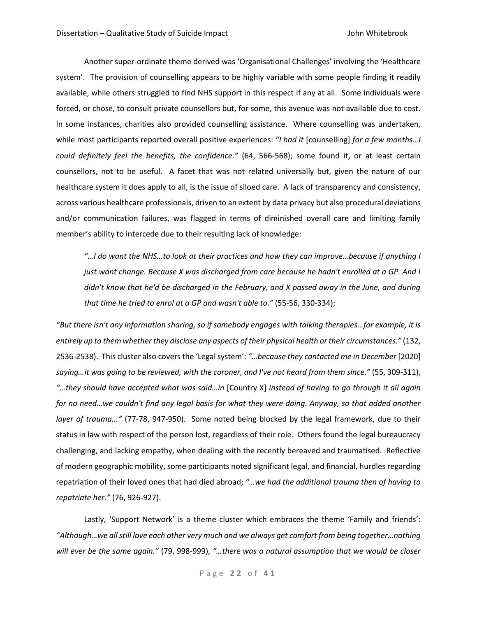Another super-ordinate theme derived was 'Organisational Challenges' involving the 'Healthcare system'. The provision of counselling appears to be highly variable with some people finding it readily available, while others struggled to find NHS support in this respect if any at all. Some individuals were forced, or chose, to consult private counsellors but, for some, this avenue was not available due to cost. In some instances, charities also provided counselling assistance. Where counselling was undertaken, while most participants reported overall positive experiences: *"I had it* [counselling] *for a few months…I could definitely feel the benefits, the confidence."* (64, 566-568); some found it, or at least certain counsellors, not to be useful. A facet that was not related universally but, given the nature of our healthcare system it does apply to all, is the issue of siloed care. A lack of transparency and consistency, across various healthcare professionals, driven to an extent by data privacy but also procedural deviations and/or communication failures, was flagged in terms of diminished overall care and limiting family member's ability to intercede due to their resulting lack of knowledge:

*"…I do want the NHS…to look at their practices and how they can improve…because if anything I just want change. Because X was discharged from care because he hadn't enrolled at a GP. And I didn't know that he'd be discharged in the February, and X passed away in the June, and during that time he tried to enrol at a GP and wasn't able to."* (55-56, 330-334);

*"But there isn't any information sharing, so if somebody engages with talking therapies…for example, it is entirely up to them whether they disclose any aspects of their physical health or their circumstances."* (132, 2536-2538). This cluster also covers the 'Legal system': *"…because they contacted me in December* [2020] *saying…it was going to be reviewed, with the coroner, and I've not heard from them since."* (55, 309-311), *"…they should have accepted what was said…in* [Country X] *instead of having to go through it all again for no need…we couldn't find any legal basis for what they were doing. Anyway, so that added another layer of trauma..."* (77-78, 947-950). Some noted being blocked by the legal framework, due to their status in law with respect of the person lost, regardless of their role. Others found the legal bureaucracy challenging, and lacking empathy, when dealing with the recently bereaved and traumatised. Reflective of modern geographic mobility, some participants noted significant legal, and financial, hurdles regarding repatriation of their loved ones that had died abroad; *"…we had the additional trauma then of having to repatriate her."* (76, 926-927).

Lastly, 'Support Network' is a theme cluster which embraces the theme 'Family and friends': *"Although…we all still love each other very much and we always get comfort from being together…nothing will ever be the same again."* (79, 998-999), *"…there was a natural assumption that we would be closer*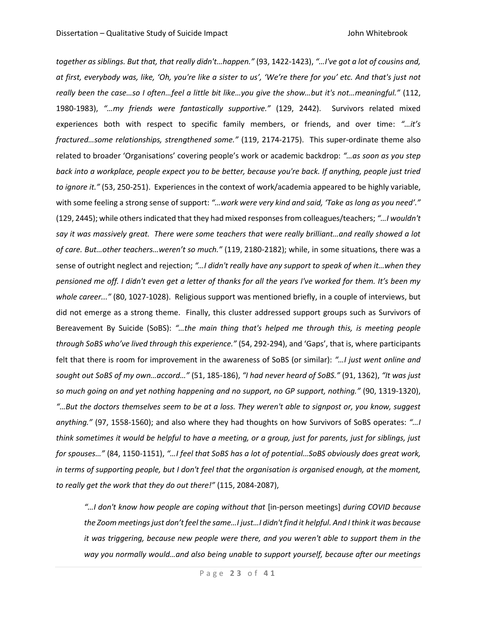*together as siblings. But that, that really didn't…happen."* (93, 1422-1423), *"…I've got a lot of cousins and, at first, everybody was, like, 'Oh, you're like a sister to us', 'We're there for you' etc. And that's just not really been the case…so I often…feel a little bit like…you give the show…but it's not…meaningful."* (112, 1980-1983), *"…my friends were fantastically supportive."* (129, 2442). Survivors related mixed experiences both with respect to specific family members, or friends, and over time: *"…it's fractured…some relationships, strengthened some."* (119, 2174-2175). This super-ordinate theme also related to broader 'Organisations' covering people's work or academic backdrop: *"…as soon as you step back into a workplace, people expect you to be better, because you're back. If anything, people just tried to ignore it."* (53, 250-251). Experiences in the context of work/academia appeared to be highly variable, with some feeling a strong sense of support: *"…work were very kind and said, 'Take as long as you need'."* (129, 2445); while others indicated that they had mixed responses from colleagues/teachers; *"…I wouldn't say it was massively great. There were some teachers that were really brilliant…and really showed a lot of care. But…other teachers…weren't so much."* (119, 2180-2182); while, in some situations, there was a sense of outright neglect and rejection; *"…I didn't really have any support to speak of when it…when they pensioned me off. I didn't even get a letter of thanks for all the years I've worked for them. It's been my whole career..."* (80, 1027-1028). Religious support was mentioned briefly, in a couple of interviews, but did not emerge as a strong theme. Finally, this cluster addressed support groups such as Survivors of Bereavement By Suicide (SoBS): *"…the main thing that's helped me through this, is meeting people through SoBS who've lived through this experience."* (54, 292-294), and 'Gaps', that is, where participants felt that there is room for improvement in the awareness of SoBS (or similar): *"…I just went online and sought out SoBS of my own…accord…"* (51, 185-186), *"I had never heard of SoBS."* (91, 1362), *"It was just so much going on and yet nothing happening and no support, no GP support, nothing."* (90, 1319-1320), *"…But the doctors themselves seem to be at a loss. They weren't able to signpost or, you know, suggest anything."* (97, 1558-1560); and also where they had thoughts on how Survivors of SoBS operates: *"…I think sometimes it would be helpful to have a meeting, or a group, just for parents, just for siblings, just for spouses…"* (84, 1150-1151), *"…I feel that SoBS has a lot of potential…SoBS obviously does great work, in terms of supporting people, but I don't feel that the organisation is organised enough, at the moment, to really get the work that they do out there!"* (115, 2084-2087),

*"…I don't know how people are coping without that* [in-person meetings] *during COVID because the Zoom meetingsjust don't feel the same…I just…I didn't find it helpful. And I think it was because it was triggering, because new people were there, and you weren't able to support them in the way you normally would…and also being unable to support yourself, because after our meetings*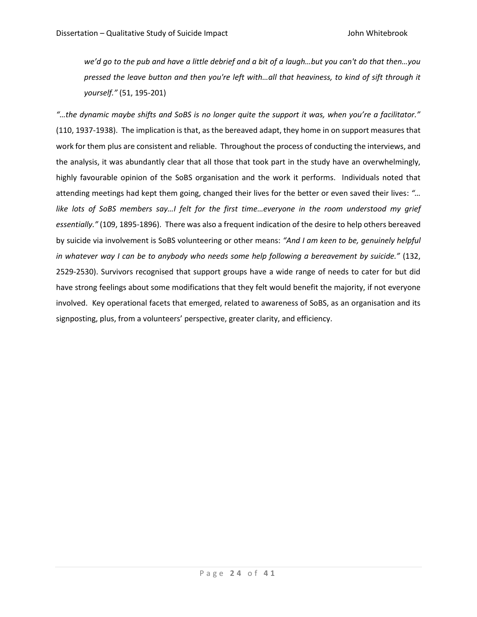*we'd go to the pub and have a little debrief and a bit of a laugh…but you can't do that then…you pressed the leave button and then you're left with…all that heaviness, to kind of sift through it yourself."* (51, 195-201)

*"…the dynamic maybe shifts and SoBS is no longer quite the support it was, when you're a facilitator."* (110, 1937-1938). The implication is that, as the bereaved adapt, they home in on support measures that work for them plus are consistent and reliable. Throughout the process of conducting the interviews, and the analysis, it was abundantly clear that all those that took part in the study have an overwhelmingly, highly favourable opinion of the SoBS organisation and the work it performs. Individuals noted that attending meetings had kept them going, changed their lives for the better or even saved their lives: *"… like lots of SoBS members say…I felt for the first time…everyone in the room understood my grief essentially."* (109, 1895-1896). There was also a frequent indication of the desire to help others bereaved by suicide via involvement is SoBS volunteering or other means: *"And I am keen to be, genuinely helpful in whatever way I can be to anybody who needs some help following a bereavement by suicide."* (132, 2529-2530). Survivors recognised that support groups have a wide range of needs to cater for but did have strong feelings about some modifications that they felt would benefit the majority, if not everyone involved. Key operational facets that emerged, related to awareness of SoBS, as an organisation and its signposting, plus, from a volunteers' perspective, greater clarity, and efficiency.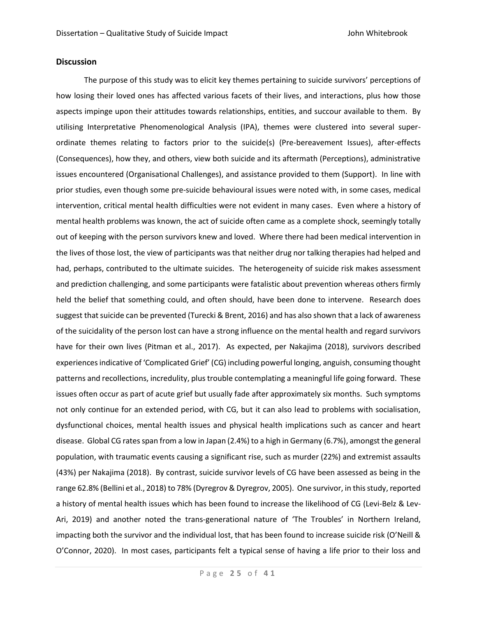# **Discussion**

The purpose of this study was to elicit key themes pertaining to suicide survivors' perceptions of how losing their loved ones has affected various facets of their lives, and interactions, plus how those aspects impinge upon their attitudes towards relationships, entities, and succour available to them. By utilising Interpretative Phenomenological Analysis (IPA), themes were clustered into several superordinate themes relating to factors prior to the suicide(s) (Pre-bereavement Issues), after-effects (Consequences), how they, and others, view both suicide and its aftermath (Perceptions), administrative issues encountered (Organisational Challenges), and assistance provided to them (Support). In line with prior studies, even though some pre-suicide behavioural issues were noted with, in some cases, medical intervention, critical mental health difficulties were not evident in many cases. Even where a history of mental health problems was known, the act of suicide often came as a complete shock, seemingly totally out of keeping with the person survivors knew and loved. Where there had been medical intervention in the lives of those lost, the view of participants was that neither drug nor talking therapies had helped and had, perhaps, contributed to the ultimate suicides. The heterogeneity of suicide risk makes assessment and prediction challenging, and some participants were fatalistic about prevention whereas others firmly held the belief that something could, and often should, have been done to intervene. Research does suggest that suicide can be prevented (Turecki & Brent, 2016) and has also shown that a lack of awareness of the suicidality of the person lost can have a strong influence on the mental health and regard survivors have for their own lives (Pitman et al., 2017). As expected, per Nakajima (2018), survivors described experiences indicative of 'Complicated Grief' (CG) including powerful longing, anguish, consuming thought patterns and recollections, incredulity, plus trouble contemplating a meaningful life going forward. These issues often occur as part of acute grief but usually fade after approximately six months. Such symptoms not only continue for an extended period, with CG, but it can also lead to problems with socialisation, dysfunctional choices, mental health issues and physical health implications such as cancer and heart disease. Global CG rates span from a low in Japan (2.4%) to a high in Germany (6.7%), amongst the general population, with traumatic events causing a significant rise, such as murder (22%) and extremist assaults (43%) per Nakajima (2018). By contrast, suicide survivor levels of CG have been assessed as being in the range 62.8% (Bellini et al., 2018) to 78% (Dyregrov & Dyregrov, 2005). One survivor, in this study, reported a history of mental health issues which has been found to increase the likelihood of CG (Levi-Belz & Lev-Ari, 2019) and another noted the trans-generational nature of 'The Troubles' in Northern Ireland, impacting both the survivor and the individual lost, that has been found to increase suicide risk (O'Neill & O'Connor, 2020). In most cases, participants felt a typical sense of having a life prior to their loss and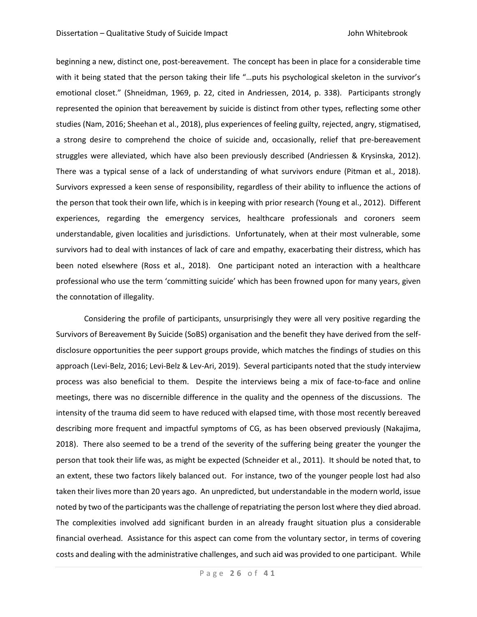beginning a new, distinct one, post-bereavement. The concept has been in place for a considerable time with it being stated that the person taking their life "...puts his psychological skeleton in the survivor's emotional closet." (Shneidman, 1969, p. 22, cited in Andriessen, 2014, p. 338). Participants strongly represented the opinion that bereavement by suicide is distinct from other types, reflecting some other studies (Nam, 2016; Sheehan et al., 2018), plus experiences of feeling guilty, rejected, angry, stigmatised, a strong desire to comprehend the choice of suicide and, occasionally, relief that pre-bereavement struggles were alleviated, which have also been previously described (Andriessen & Krysinska, 2012). There was a typical sense of a lack of understanding of what survivors endure (Pitman et al., 2018). Survivors expressed a keen sense of responsibility, regardless of their ability to influence the actions of the person that took their own life, which is in keeping with prior research (Young et al., 2012). Different experiences, regarding the emergency services, healthcare professionals and coroners seem understandable, given localities and jurisdictions. Unfortunately, when at their most vulnerable, some survivors had to deal with instances of lack of care and empathy, exacerbating their distress, which has been noted elsewhere (Ross et al., 2018). One participant noted an interaction with a healthcare professional who use the term 'committing suicide' which has been frowned upon for many years, given the connotation of illegality.

Considering the profile of participants, unsurprisingly they were all very positive regarding the Survivors of Bereavement By Suicide (SoBS) organisation and the benefit they have derived from the selfdisclosure opportunities the peer support groups provide, which matches the findings of studies on this approach (Levi-Belz, 2016; Levi-Belz & Lev-Ari, 2019). Several participants noted that the study interview process was also beneficial to them. Despite the interviews being a mix of face-to-face and online meetings, there was no discernible difference in the quality and the openness of the discussions. The intensity of the trauma did seem to have reduced with elapsed time, with those most recently bereaved describing more frequent and impactful symptoms of CG, as has been observed previously (Nakajima, 2018). There also seemed to be a trend of the severity of the suffering being greater the younger the person that took their life was, as might be expected (Schneider et al., 2011). It should be noted that, to an extent, these two factors likely balanced out. For instance, two of the younger people lost had also taken their lives more than 20 years ago. An unpredicted, but understandable in the modern world, issue noted by two of the participants wasthe challenge of repatriating the person lost where they died abroad. The complexities involved add significant burden in an already fraught situation plus a considerable financial overhead. Assistance for this aspect can come from the voluntary sector, in terms of covering costs and dealing with the administrative challenges, and such aid was provided to one participant. While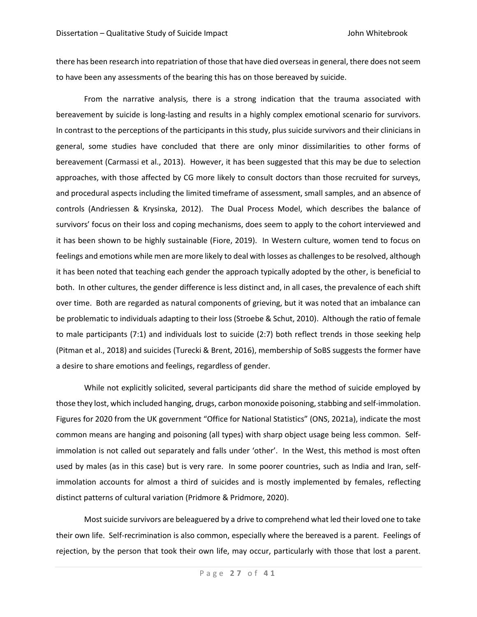there has been research into repatriation of those that have died overseas in general, there does not seem to have been any assessments of the bearing this has on those bereaved by suicide.

From the narrative analysis, there is a strong indication that the trauma associated with bereavement by suicide is long-lasting and results in a highly complex emotional scenario for survivors. In contrast to the perceptions of the participants in this study, plus suicide survivors and their clinicians in general, some studies have concluded that there are only minor dissimilarities to other forms of bereavement (Carmassi et al., 2013). However, it has been suggested that this may be due to selection approaches, with those affected by CG more likely to consult doctors than those recruited for surveys, and procedural aspects including the limited timeframe of assessment, small samples, and an absence of controls (Andriessen & Krysinska, 2012). The Dual Process Model, which describes the balance of survivors' focus on their loss and coping mechanisms, does seem to apply to the cohort interviewed and it has been shown to be highly sustainable (Fiore, 2019). In Western culture, women tend to focus on feelings and emotions while men are more likely to deal with losses as challengesto be resolved, although it has been noted that teaching each gender the approach typically adopted by the other, is beneficial to both. In other cultures, the gender difference is less distinct and, in all cases, the prevalence of each shift over time. Both are regarded as natural components of grieving, but it was noted that an imbalance can be problematic to individuals adapting to their loss (Stroebe & Schut, 2010). Although the ratio of female to male participants (7:1) and individuals lost to suicide (2:7) both reflect trends in those seeking help (Pitman et al., 2018) and suicides (Turecki & Brent, 2016), membership of SoBS suggests the former have a desire to share emotions and feelings, regardless of gender.

While not explicitly solicited, several participants did share the method of suicide employed by those they lost, which included hanging, drugs, carbon monoxide poisoning, stabbing and self-immolation. Figures for 2020 from the UK government "Office for National Statistics" (ONS, 2021a), indicate the most common means are hanging and poisoning (all types) with sharp object usage being less common. Selfimmolation is not called out separately and falls under 'other'. In the West, this method is most often used by males (as in this case) but is very rare. In some poorer countries, such as India and Iran, selfimmolation accounts for almost a third of suicides and is mostly implemented by females, reflecting distinct patterns of cultural variation (Pridmore & Pridmore, 2020).

Most suicide survivors are beleaguered by a drive to comprehend what led their loved one to take their own life. Self-recrimination is also common, especially where the bereaved is a parent. Feelings of rejection, by the person that took their own life, may occur, particularly with those that lost a parent.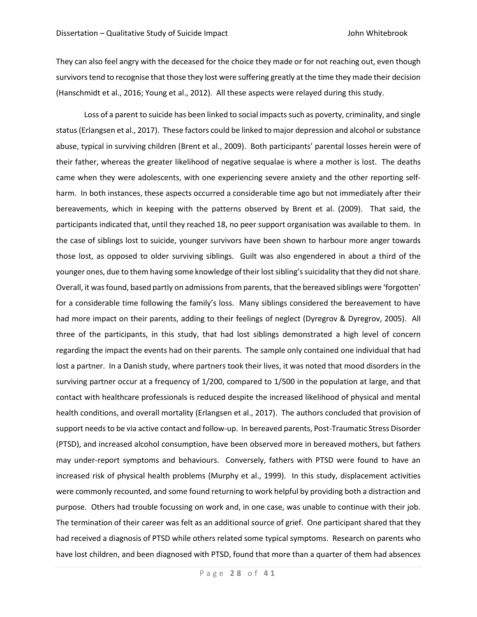They can also feel angry with the deceased for the choice they made or for not reaching out, even though survivors tend to recognise that those they lost were suffering greatly at the time they made their decision (Hanschmidt et al., 2016; Young et al., 2012). All these aspects were relayed during this study.

Loss of a parent to suicide has been linked to social impacts such as poverty, criminality, and single status (Erlangsen et al., 2017). These factors could be linked to major depression and alcohol or substance abuse, typical in surviving children (Brent et al., 2009). Both participants' parental losses herein were of their father, whereas the greater likelihood of negative sequalae is where a mother is lost. The deaths came when they were adolescents, with one experiencing severe anxiety and the other reporting selfharm. In both instances, these aspects occurred a considerable time ago but not immediately after their bereavements, which in keeping with the patterns observed by Brent et al. (2009). That said, the participants indicated that, until they reached 18, no peer support organisation was available to them. In the case of siblings lost to suicide, younger survivors have been shown to harbour more anger towards those lost, as opposed to older surviving siblings. Guilt was also engendered in about a third of the younger ones, due to them having some knowledge of their lost sibling's suicidality that they did not share. Overall, it was found, based partly on admissions from parents, that the bereaved siblings were 'forgotten' for a considerable time following the family's loss. Many siblings considered the bereavement to have had more impact on their parents, adding to their feelings of neglect (Dyregrov & Dyregrov, 2005). All three of the participants, in this study, that had lost siblings demonstrated a high level of concern regarding the impact the events had on their parents. The sample only contained one individual that had lost a partner. In a Danish study, where partners took their lives, it was noted that mood disorders in the surviving partner occur at a frequency of 1/200, compared to 1/500 in the population at large, and that contact with healthcare professionals is reduced despite the increased likelihood of physical and mental health conditions, and overall mortality (Erlangsen et al., 2017). The authors concluded that provision of support needs to be via active contact and follow-up. In bereaved parents, Post-Traumatic Stress Disorder (PTSD), and increased alcohol consumption, have been observed more in bereaved mothers, but fathers may under-report symptoms and behaviours. Conversely, fathers with PTSD were found to have an increased risk of physical health problems (Murphy et al., 1999). In this study, displacement activities were commonly recounted, and some found returning to work helpful by providing both a distraction and purpose. Others had trouble focussing on work and, in one case, was unable to continue with their job. The termination of their career was felt as an additional source of grief. One participant shared that they had received a diagnosis of PTSD while others related some typical symptoms. Research on parents who have lost children, and been diagnosed with PTSD, found that more than a quarter of them had absences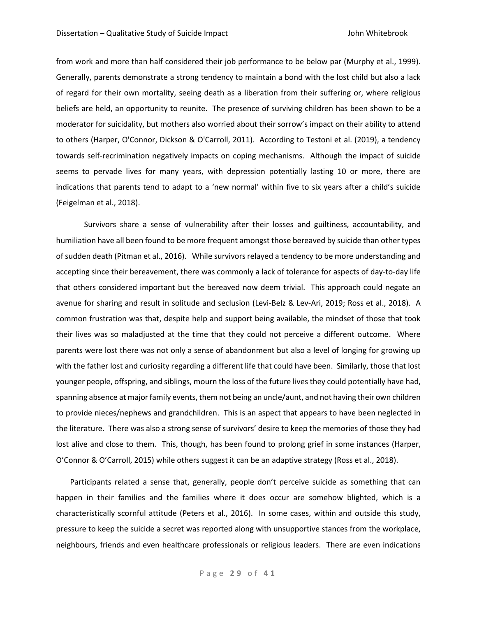from work and more than half considered their job performance to be below par (Murphy et al., 1999). Generally, parents demonstrate a strong tendency to maintain a bond with the lost child but also a lack of regard for their own mortality, seeing death as a liberation from their suffering or, where religious beliefs are held, an opportunity to reunite. The presence of surviving children has been shown to be a moderator for suicidality, but mothers also worried about their sorrow's impact on their ability to attend to others (Harper, O'Connor, Dickson & O'Carroll, 2011). According to Testoni et al. (2019), a tendency towards self-recrimination negatively impacts on coping mechanisms. Although the impact of suicide seems to pervade lives for many years, with depression potentially lasting 10 or more, there are indications that parents tend to adapt to a 'new normal' within five to six years after a child's suicide (Feigelman et al., 2018).

Survivors share a sense of vulnerability after their losses and guiltiness, accountability, and humiliation have all been found to be more frequent amongst those bereaved by suicide than other types of sudden death (Pitman et al., 2016). While survivors relayed a tendency to be more understanding and accepting since their bereavement, there was commonly a lack of tolerance for aspects of day-to-day life that others considered important but the bereaved now deem trivial. This approach could negate an avenue for sharing and result in solitude and seclusion (Levi-Belz & Lev-Ari, 2019; Ross et al., 2018). A common frustration was that, despite help and support being available, the mindset of those that took their lives was so maladjusted at the time that they could not perceive a different outcome. Where parents were lost there was not only a sense of abandonment but also a level of longing for growing up with the father lost and curiosity regarding a different life that could have been. Similarly, those that lost younger people, offspring, and siblings, mourn the loss of the future lives they could potentially have had, spanning absence at major family events, them not being an uncle/aunt, and not having their own children to provide nieces/nephews and grandchildren. This is an aspect that appears to have been neglected in the literature. There was also a strong sense of survivors' desire to keep the memories of those they had lost alive and close to them. This, though, has been found to prolong grief in some instances (Harper, O'Connor & O'Carroll, 2015) while others suggest it can be an adaptive strategy (Ross et al., 2018).

Participants related a sense that, generally, people don't perceive suicide as something that can happen in their families and the families where it does occur are somehow blighted, which is a characteristically scornful attitude (Peters et al., 2016). In some cases, within and outside this study, pressure to keep the suicide a secret was reported along with unsupportive stances from the workplace, neighbours, friends and even healthcare professionals or religious leaders. There are even indications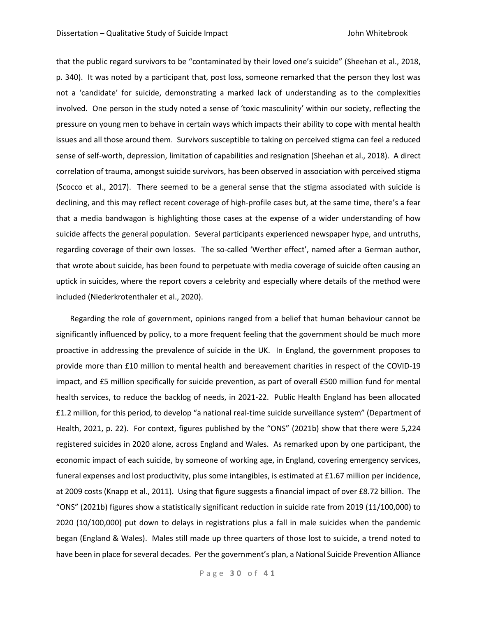that the public regard survivors to be "contaminated by their loved one's suicide" (Sheehan et al., 2018, p. 340). It was noted by a participant that, post loss, someone remarked that the person they lost was not a 'candidate' for suicide, demonstrating a marked lack of understanding as to the complexities involved. One person in the study noted a sense of 'toxic masculinity' within our society, reflecting the pressure on young men to behave in certain ways which impacts their ability to cope with mental health issues and all those around them. Survivors susceptible to taking on perceived stigma can feel a reduced sense of self-worth, depression, limitation of capabilities and resignation (Sheehan et al., 2018). A direct correlation of trauma, amongst suicide survivors, has been observed in association with perceived stigma (Scocco et al., 2017). There seemed to be a general sense that the stigma associated with suicide is declining, and this may reflect recent coverage of high-profile cases but, at the same time, there's a fear that a media bandwagon is highlighting those cases at the expense of a wider understanding of how suicide affects the general population. Several participants experienced newspaper hype, and untruths, regarding coverage of their own losses. The so-called 'Werther effect', named after a German author, that wrote about suicide, has been found to perpetuate with media coverage of suicide often causing an uptick in suicides, where the report covers a celebrity and especially where details of the method were included (Niederkrotenthaler et al., 2020).

Regarding the role of government, opinions ranged from a belief that human behaviour cannot be significantly influenced by policy, to a more frequent feeling that the government should be much more proactive in addressing the prevalence of suicide in the UK. In England, the government proposes to provide more than £10 million to mental health and bereavement charities in respect of the COVID-19 impact, and £5 million specifically for suicide prevention, as part of overall £500 million fund for mental health services, to reduce the backlog of needs, in 2021-22. Public Health England has been allocated £1.2 million, for this period, to develop "a national real-time suicide surveillance system" (Department of Health, 2021, p. 22). For context, figures published by the "ONS" (2021b) show that there were 5,224 registered suicides in 2020 alone, across England and Wales. As remarked upon by one participant, the economic impact of each suicide, by someone of working age, in England, covering emergency services, funeral expenses and lost productivity, plus some intangibles, is estimated at £1.67 million per incidence, at 2009 costs (Knapp et al., 2011). Using that figure suggests a financial impact of over £8.72 billion. The "ONS" (2021b) figures show a statistically significant reduction in suicide rate from 2019 (11/100,000) to 2020 (10/100,000) put down to delays in registrations plus a fall in male suicides when the pandemic began (England & Wales). Males still made up three quarters of those lost to suicide, a trend noted to have been in place for several decades. Per the government's plan, a National Suicide Prevention Alliance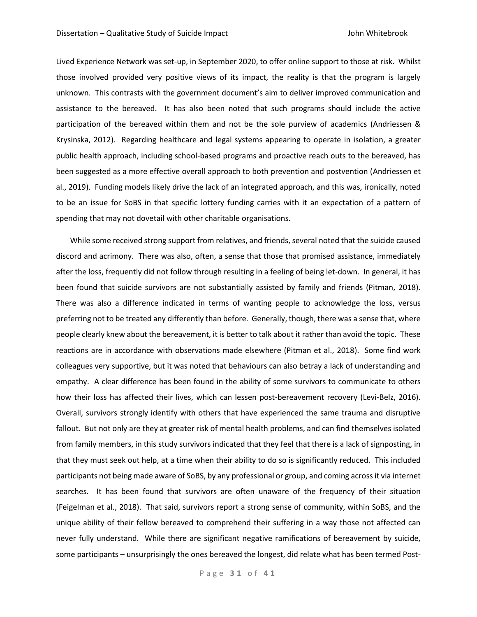Lived Experience Network was set-up, in September 2020, to offer online support to those at risk. Whilst those involved provided very positive views of its impact, the reality is that the program is largely unknown. This contrasts with the government document's aim to deliver improved communication and assistance to the bereaved. It has also been noted that such programs should include the active participation of the bereaved within them and not be the sole purview of academics (Andriessen & Krysinska, 2012). Regarding healthcare and legal systems appearing to operate in isolation, a greater public health approach, including school-based programs and proactive reach outs to the bereaved, has been suggested as a more effective overall approach to both prevention and postvention (Andriessen et al., 2019). Funding models likely drive the lack of an integrated approach, and this was, ironically, noted to be an issue for SoBS in that specific lottery funding carries with it an expectation of a pattern of spending that may not dovetail with other charitable organisations.

While some received strong support from relatives, and friends, several noted that the suicide caused discord and acrimony. There was also, often, a sense that those that promised assistance, immediately after the loss, frequently did not follow through resulting in a feeling of being let-down. In general, it has been found that suicide survivors are not substantially assisted by family and friends (Pitman, 2018). There was also a difference indicated in terms of wanting people to acknowledge the loss, versus preferring not to be treated any differently than before. Generally, though, there was a sense that, where people clearly knew about the bereavement, it is better to talk about it rather than avoid the topic. These reactions are in accordance with observations made elsewhere (Pitman et al., 2018). Some find work colleagues very supportive, but it was noted that behaviours can also betray a lack of understanding and empathy. A clear difference has been found in the ability of some survivors to communicate to others how their loss has affected their lives, which can lessen post-bereavement recovery (Levi-Belz, 2016). Overall, survivors strongly identify with others that have experienced the same trauma and disruptive fallout. But not only are they at greater risk of mental health problems, and can find themselves isolated from family members, in this study survivors indicated that they feel that there is a lack of signposting, in that they must seek out help, at a time when their ability to do so is significantly reduced. This included participants not being made aware of SoBS, by any professional or group, and coming across it via internet searches. It has been found that survivors are often unaware of the frequency of their situation (Feigelman et al., 2018). That said, survivors report a strong sense of community, within SoBS, and the unique ability of their fellow bereaved to comprehend their suffering in a way those not affected can never fully understand. While there are significant negative ramifications of bereavement by suicide, some participants – unsurprisingly the ones bereaved the longest, did relate what has been termed Post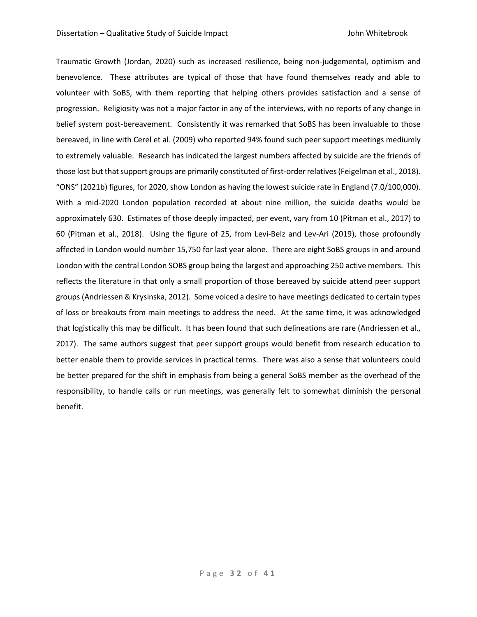Traumatic Growth (Jordan, 2020) such as increased resilience, being non-judgemental, optimism and benevolence. These attributes are typical of those that have found themselves ready and able to volunteer with SoBS, with them reporting that helping others provides satisfaction and a sense of progression. Religiosity was not a major factor in any of the interviews, with no reports of any change in belief system post-bereavement. Consistently it was remarked that SoBS has been invaluable to those bereaved, in line with Cerel et al. (2009) who reported 94% found such peer support meetings mediumly to extremely valuable. Research has indicated the largest numbers affected by suicide are the friends of those lost but that support groups are primarily constituted of first-order relatives (Feigelman et al., 2018). "ONS" (2021b) figures, for 2020, show London as having the lowest suicide rate in England (7.0/100,000). With a mid-2020 London population recorded at about nine million, the suicide deaths would be approximately 630. Estimates of those deeply impacted, per event, vary from 10 (Pitman et al., 2017) to 60 (Pitman et al., 2018). Using the figure of 25, from Levi-Belz and Lev-Ari (2019), those profoundly affected in London would number 15,750 for last year alone. There are eight SoBS groups in and around London with the central London SOBS group being the largest and approaching 250 active members. This reflects the literature in that only a small proportion of those bereaved by suicide attend peer support groups (Andriessen & Krysinska, 2012). Some voiced a desire to have meetings dedicated to certain types of loss or breakouts from main meetings to address the need. At the same time, it was acknowledged that logistically this may be difficult. It has been found that such delineations are rare (Andriessen et al., 2017). The same authors suggest that peer support groups would benefit from research education to better enable them to provide services in practical terms. There was also a sense that volunteers could be better prepared for the shift in emphasis from being a general SoBS member as the overhead of the responsibility, to handle calls or run meetings, was generally felt to somewhat diminish the personal benefit.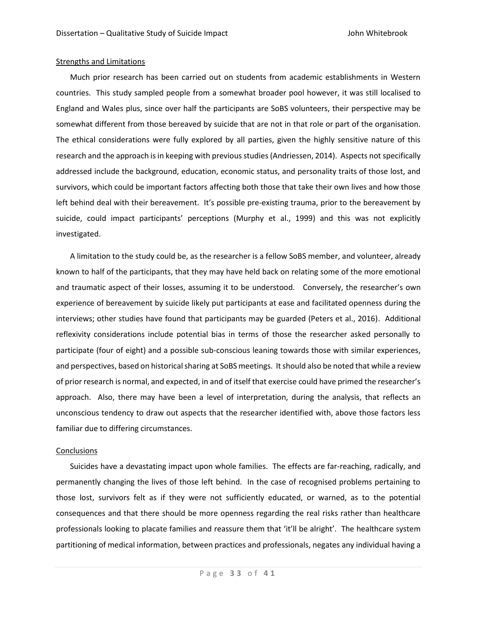## Strengths and Limitations

Much prior research has been carried out on students from academic establishments in Western countries. This study sampled people from a somewhat broader pool however, it was still localised to England and Wales plus, since over half the participants are SoBS volunteers, their perspective may be somewhat different from those bereaved by suicide that are not in that role or part of the organisation. The ethical considerations were fully explored by all parties, given the highly sensitive nature of this research and the approach is in keeping with previous studies (Andriessen, 2014). Aspects not specifically addressed include the background, education, economic status, and personality traits of those lost, and survivors, which could be important factors affecting both those that take their own lives and how those left behind deal with their bereavement. It's possible pre-existing trauma, prior to the bereavement by suicide, could impact participants' perceptions (Murphy et al., 1999) and this was not explicitly investigated.

A limitation to the study could be, as the researcher is a fellow SoBS member, and volunteer, already known to half of the participants, that they may have held back on relating some of the more emotional and traumatic aspect of their losses, assuming it to be understood. Conversely, the researcher's own experience of bereavement by suicide likely put participants at ease and facilitated openness during the interviews; other studies have found that participants may be guarded (Peters et al., 2016). Additional reflexivity considerations include potential bias in terms of those the researcher asked personally to participate (four of eight) and a possible sub-conscious leaning towards those with similar experiences, and perspectives, based on historical sharing at SoBS meetings. It should also be noted that while a review of prior research is normal, and expected, in and of itself that exercise could have primed the researcher's approach. Also, there may have been a level of interpretation, during the analysis, that reflects an unconscious tendency to draw out aspects that the researcher identified with, above those factors less familiar due to differing circumstances.

## **Conclusions**

Suicides have a devastating impact upon whole families. The effects are far-reaching, radically, and permanently changing the lives of those left behind. In the case of recognised problems pertaining to those lost, survivors felt as if they were not sufficiently educated, or warned, as to the potential consequences and that there should be more openness regarding the real risks rather than healthcare professionals looking to placate families and reassure them that 'it'll be alright'. The healthcare system partitioning of medical information, between practices and professionals, negates any individual having a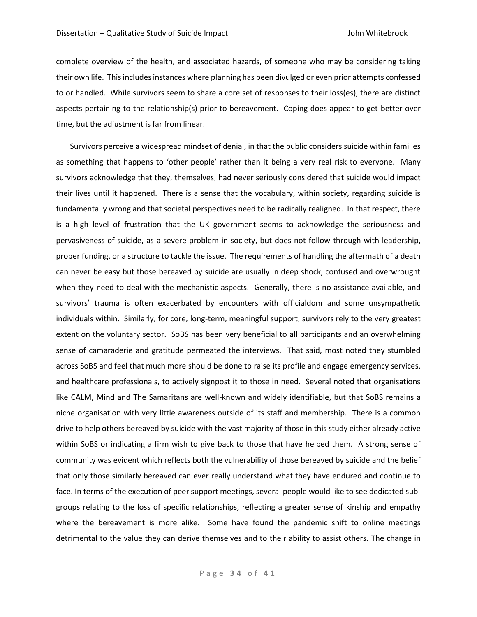complete overview of the health, and associated hazards, of someone who may be considering taking their own life. This includes instances where planning has been divulged or even prior attempts confessed to or handled. While survivors seem to share a core set of responses to their loss(es), there are distinct aspects pertaining to the relationship(s) prior to bereavement. Coping does appear to get better over time, but the adjustment is far from linear.

Survivors perceive a widespread mindset of denial, in that the public considers suicide within families as something that happens to 'other people' rather than it being a very real risk to everyone. Many survivors acknowledge that they, themselves, had never seriously considered that suicide would impact their lives until it happened. There is a sense that the vocabulary, within society, regarding suicide is fundamentally wrong and that societal perspectives need to be radically realigned. In that respect, there is a high level of frustration that the UK government seems to acknowledge the seriousness and pervasiveness of suicide, as a severe problem in society, but does not follow through with leadership, proper funding, or a structure to tackle the issue. The requirements of handling the aftermath of a death can never be easy but those bereaved by suicide are usually in deep shock, confused and overwrought when they need to deal with the mechanistic aspects. Generally, there is no assistance available, and survivors' trauma is often exacerbated by encounters with officialdom and some unsympathetic individuals within. Similarly, for core, long-term, meaningful support, survivors rely to the very greatest extent on the voluntary sector. SoBS has been very beneficial to all participants and an overwhelming sense of camaraderie and gratitude permeated the interviews. That said, most noted they stumbled across SoBS and feel that much more should be done to raise its profile and engage emergency services, and healthcare professionals, to actively signpost it to those in need. Several noted that organisations like CALM, Mind and The Samaritans are well-known and widely identifiable, but that SoBS remains a niche organisation with very little awareness outside of its staff and membership. There is a common drive to help others bereaved by suicide with the vast majority of those in this study either already active within SoBS or indicating a firm wish to give back to those that have helped them. A strong sense of community was evident which reflects both the vulnerability of those bereaved by suicide and the belief that only those similarly bereaved can ever really understand what they have endured and continue to face. In terms of the execution of peer support meetings, several people would like to see dedicated subgroups relating to the loss of specific relationships, reflecting a greater sense of kinship and empathy where the bereavement is more alike. Some have found the pandemic shift to online meetings detrimental to the value they can derive themselves and to their ability to assist others. The change in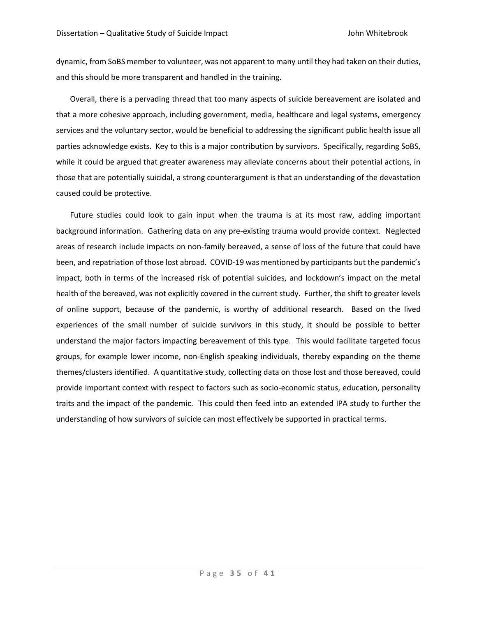dynamic, from SoBS member to volunteer, was not apparent to many until they had taken on their duties, and this should be more transparent and handled in the training.

Overall, there is a pervading thread that too many aspects of suicide bereavement are isolated and that a more cohesive approach, including government, media, healthcare and legal systems, emergency services and the voluntary sector, would be beneficial to addressing the significant public health issue all parties acknowledge exists. Key to this is a major contribution by survivors. Specifically, regarding SoBS, while it could be argued that greater awareness may alleviate concerns about their potential actions, in those that are potentially suicidal, a strong counterargument is that an understanding of the devastation caused could be protective.

Future studies could look to gain input when the trauma is at its most raw, adding important background information. Gathering data on any pre-existing trauma would provide context. Neglected areas of research include impacts on non-family bereaved, a sense of loss of the future that could have been, and repatriation of those lost abroad. COVID-19 was mentioned by participants but the pandemic's impact, both in terms of the increased risk of potential suicides, and lockdown's impact on the metal health of the bereaved, was not explicitly covered in the current study. Further, the shift to greater levels of online support, because of the pandemic, is worthy of additional research. Based on the lived experiences of the small number of suicide survivors in this study, it should be possible to better understand the major factors impacting bereavement of this type. This would facilitate targeted focus groups, for example lower income, non-English speaking individuals, thereby expanding on the theme themes/clusters identified. A quantitative study, collecting data on those lost and those bereaved, could provide important context with respect to factors such as socio-economic status, education, personality traits and the impact of the pandemic. This could then feed into an extended IPA study to further the understanding of how survivors of suicide can most effectively be supported in practical terms.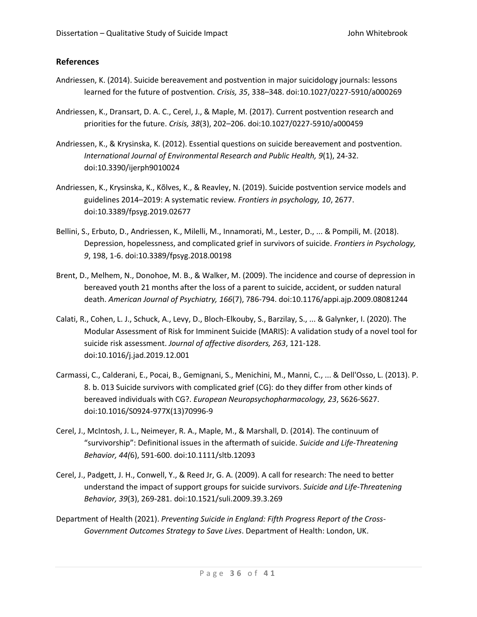# **References**

- Andriessen, K. (2014). Suicide bereavement and postvention in major suicidology journals: lessons learned for the future of postvention. *Crisis, 35*, 338–348. doi:10.1027/0227-5910/a000269
- Andriessen, K., Dransart, D. A. C., Cerel, J., & Maple, M. (2017). Current postvention research and priorities for the future. *Crisis, 38*(3), 202–206. doi:10.1027/0227-5910/a000459
- Andriessen, K., & Krysinska, K. (2012). Essential questions on suicide bereavement and postvention. *International Journal of Environmental Research and Public Health, 9*(1), 24-32. doi:10.3390/ijerph9010024
- Andriessen, K., Krysinska, K., Kõlves, K., & Reavley, N. (2019). Suicide postvention service models and guidelines 2014–2019: A systematic review*. Frontiers in psychology, 10*, 2677. doi:10.3389/fpsyg.2019.02677
- Bellini, S., Erbuto, D., Andriessen, K., Milelli, M., Innamorati, M., Lester, D., ... & Pompili, M. (2018). Depression, hopelessness, and complicated grief in survivors of suicide. *Frontiers in Psychology, 9*, 198, 1-6. doi:10.3389/fpsyg.2018.00198
- Brent, D., Melhem, N., Donohoe, M. B., & Walker, M. (2009). The incidence and course of depression in bereaved youth 21 months after the loss of a parent to suicide, accident, or sudden natural death. *American Journal of Psychiatry, 166*(7), 786-794. doi:10.1176/appi.ajp.2009.08081244
- Calati, R., Cohen, L. J., Schuck, A., Levy, D., Bloch-Elkouby, S., Barzilay, S., ... & Galynker, I. (2020). The Modular Assessment of Risk for Imminent Suicide (MARIS): A validation study of a novel tool for suicide risk assessment. *Journal of affective disorders, 263*, 121-128. doi:10.1016/j.jad.2019.12.001
- Carmassi, C., Calderani, E., Pocai, B., Gemignani, S., Menichini, M., Manni, C., ... & Dell'Osso, L. (2013). P. 8. b. 013 Suicide survivors with complicated grief (CG): do they differ from other kinds of bereaved individuals with CG?. *European Neuropsychopharmacology, 23*, S626-S627. doi:10.1016/S0924-977X(13)70996-9
- Cerel, J., McIntosh, J. L., Neimeyer, R. A., Maple, M., & Marshall, D. (2014). The continuum of "survivorship": Definitional issues in the aftermath of suicide. *Suicide and Life‐Threatening Behavior, 44(*6), 591-600. doi:10.1111/sltb.12093
- Cerel, J., Padgett, J. H., Conwell, Y., & Reed Jr, G. A. (2009). A call for research: The need to better understand the impact of support groups for suicide survivors. *Suicide and Life-Threatening Behavior, 39*(3), 269-281. doi:10.1521/suli.2009.39.3.269
- Department of Health (2021). *Preventing Suicide in England: Fifth Progress Report of the Cross-Government Outcomes Strategy to Save Lives*. Department of Health: London, UK.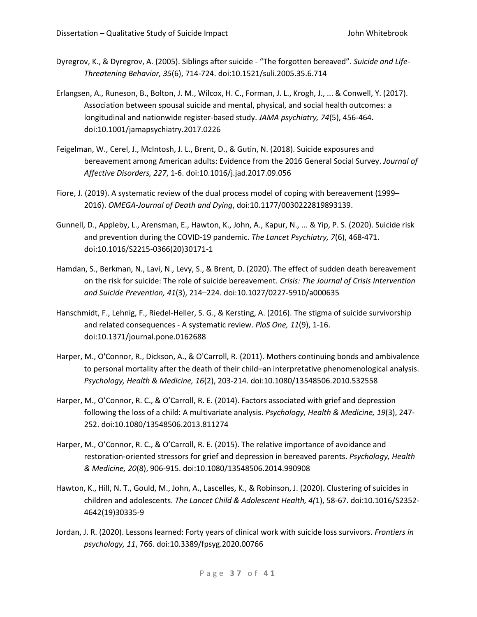- Dyregrov, K., & Dyregrov, A. (2005). Siblings after suicide "The forgotten bereaved". *Suicide and Life-Threatening Behavior, 35*(6), 714-724. doi:10.1521/suli.2005.35.6.714
- Erlangsen, A., Runeson, B., Bolton, J. M., Wilcox, H. C., Forman, J. L., Krogh, J., ... & Conwell, Y. (2017). Association between spousal suicide and mental, physical, and social health outcomes: a longitudinal and nationwide register-based study. *JAMA psychiatry, 74*(5), 456-464. doi:10.1001/jamapsychiatry.2017.0226
- Feigelman, W., Cerel, J., McIntosh, J. L., Brent, D., & Gutin, N. (2018). Suicide exposures and bereavement among American adults: Evidence from the 2016 General Social Survey. *Journal of Affective Disorders, 227*, 1-6. doi:10.1016/j.jad.2017.09.056
- Fiore, J. (2019). A systematic review of the dual process model of coping with bereavement (1999– 2016). *OMEGA-Journal of Death and Dying*, doi:10.1177/0030222819893139.
- Gunnell, D., Appleby, L., Arensman, E., Hawton, K., John, A., Kapur, N., ... & Yip, P. S. (2020). Suicide risk and prevention during the COVID-19 pandemic. *The Lancet Psychiatry, 7*(6), 468-471. doi:10.1016/S2215-0366(20)30171-1
- Hamdan, S., Berkman, N., Lavi, N., Levy, S., & Brent, D. (2020). The effect of sudden death bereavement on the risk for suicide: The role of suicide bereavement. *Crisis: The Journal of Crisis Intervention and Suicide Prevention, 41*(3), 214–224. doi:10.1027/0227-5910/a000635
- Hanschmidt, F., Lehnig, F., Riedel-Heller, S. G., & Kersting, A. (2016). The stigma of suicide survivorship and related consequences - A systematic review. *PloS One, 11*(9), 1-16. doi:10.1371/journal.pone.0162688
- Harper, M., O'Connor, R., Dickson, A., & O'Carroll, R. (2011). Mothers continuing bonds and ambivalence to personal mortality after the death of their child–an interpretative phenomenological analysis. *Psychology, Health & Medicine, 16*(2), 203-214. doi:10.1080/13548506.2010.532558
- Harper, M., O'Connor, R. C., & O'Carroll, R. E. (2014). Factors associated with grief and depression following the loss of a child: A multivariate analysis. *Psychology, Health & Medicine, 19*(3), 247- 252. doi:10.1080/13548506.2013.811274
- Harper, M., O'Connor, R. C., & O'Carroll, R. E. (2015). The relative importance of avoidance and restoration-oriented stressors for grief and depression in bereaved parents. *Psychology, Health & Medicine, 20*(8), 906-915. doi:10.1080/13548506.2014.990908
- Hawton, K., Hill, N. T., Gould, M., John, A., Lascelles, K., & Robinson, J. (2020). Clustering of suicides in children and adolescents. *The Lancet Child & Adolescent Health, 4(*1), 58-67. doi:10.1016/S2352- 4642(19)30335-9
- Jordan, J. R. (2020). Lessons learned: Forty years of clinical work with suicide loss survivors. *Frontiers in psychology, 11*, 766. doi:10.3389/fpsyg.2020.00766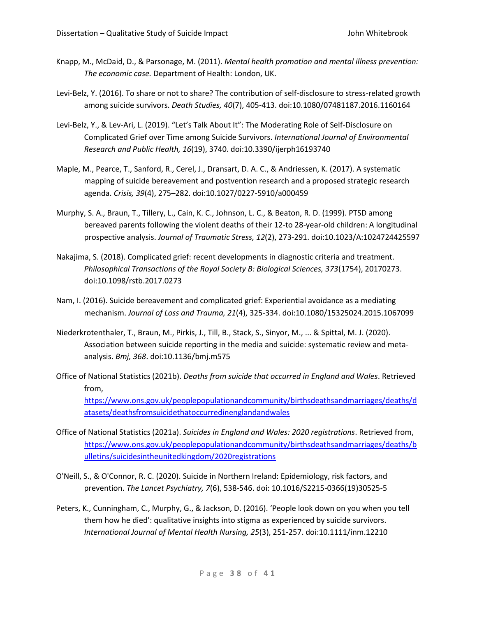- Knapp, M., McDaid, D., & Parsonage, M. (2011). *Mental health promotion and mental illness prevention: The economic case.* Department of Health: London, UK.
- Levi-Belz, Y. (2016). To share or not to share? The contribution of self-disclosure to stress-related growth among suicide survivors. *Death Studies, 40*(7), 405-413. doi:10.1080/07481187.2016.1160164
- Levi-Belz, Y., & Lev-Ari, L. (2019). "Let's Talk About It": The Moderating Role of Self-Disclosure on Complicated Grief over Time among Suicide Survivors. *International Journal of Environmental Research and Public Health, 16*(19), 3740. doi:10.3390/ijerph16193740
- Maple, M., Pearce, T., Sanford, R., Cerel, J., Dransart, D. A. C., & Andriessen, K. (2017). A systematic mapping of suicide bereavement and postvention research and a proposed strategic research agenda. *Crisis, 39*(4), 275–282. doi:10.1027/0227-5910/a000459
- Murphy, S. A., Braun, T., Tillery, L., Cain, K. C., Johnson, L. C., & Beaton, R. D. (1999). PTSD among bereaved parents following the violent deaths of their 12‐to 28‐year‐old children: A longitudinal prospective analysis. *Journal of Traumatic Stress, 12*(2), 273-291. doi:10.1023/A:1024724425597
- Nakajima, S. (2018). Complicated grief: recent developments in diagnostic criteria and treatment. *Philosophical Transactions of the Royal Society B: Biological Sciences, 373*(1754), 20170273. doi:10.1098/rstb.2017.0273
- Nam, I. (2016). Suicide bereavement and complicated grief: Experiential avoidance as a mediating mechanism. *Journal of Loss and Trauma, 21*(4), 325-334. doi:10.1080/15325024.2015.1067099
- Niederkrotenthaler, T., Braun, M., Pirkis, J., Till, B., Stack, S., Sinyor, M., ... & Spittal, M. J. (2020). Association between suicide reporting in the media and suicide: systematic review and metaanalysis. *Bmj, 368*. doi:10.1136/bmj.m575
- Office of National Statistics (2021b). *Deaths from suicide that occurred in England and Wales*. Retrieved from, [https://www.ons.gov.uk/peoplepopulationandcommunity/birthsdeathsandmarriages/deaths/d](https://www.ons.gov.uk/peoplepopulationandcommunity/birthsdeathsandmarriages/deaths/datasets/deathsfromsuicidethatoccurredinenglandandwales) [atasets/deathsfromsuicidethatoccurredinenglandandwales](https://www.ons.gov.uk/peoplepopulationandcommunity/birthsdeathsandmarriages/deaths/datasets/deathsfromsuicidethatoccurredinenglandandwales)
- Office of National Statistics (2021a). *Suicides in England and Wales: 2020 registrations*. Retrieved from, [https://www.ons.gov.uk/peoplepopulationandcommunity/birthsdeathsandmarriages/deaths/b](https://www.ons.gov.uk/peoplepopulationandcommunity/birthsdeathsandmarriages/deaths/bulletins/suicidesintheunitedkingdom/2020registrations) [ulletins/suicidesintheunitedkingdom/2020registrations](https://www.ons.gov.uk/peoplepopulationandcommunity/birthsdeathsandmarriages/deaths/bulletins/suicidesintheunitedkingdom/2020registrations)
- O'Neill, S., & O'Connor, R. C. (2020). Suicide in Northern Ireland: Epidemiology, risk factors, and prevention. *The Lancet Psychiatry, 7*(6), 538-546. doi: 10.1016/S2215-0366(19)30525-5
- Peters, K., Cunningham, C., Murphy, G., & Jackson, D. (2016). 'People look down on you when you tell them how he died': qualitative insights into stigma as experienced by suicide survivors. *International Journal of Mental Health Nursing, 25*(3), 251-257. doi:10.1111/inm.12210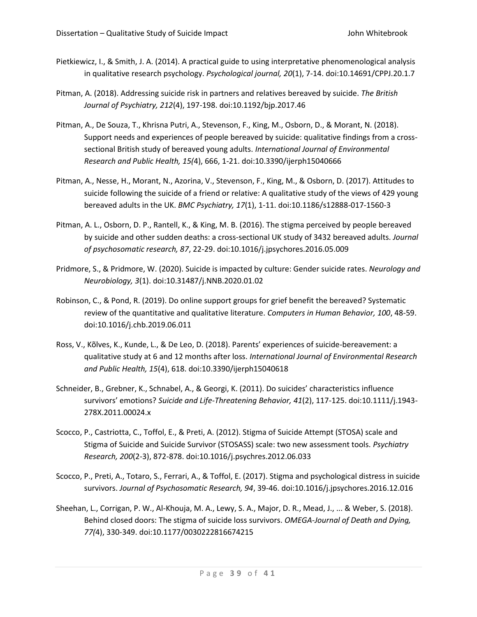- Pietkiewicz, I., & Smith, J. A. (2014). A practical guide to using interpretative phenomenological analysis in qualitative research psychology. *Psychological journal, 20*(1), 7-14. doi:10.14691/CPPJ.20.1.7
- Pitman, A. (2018). Addressing suicide risk in partners and relatives bereaved by suicide. *The British Journal of Psychiatry, 212*(4), 197-198. doi:10.1192/bjp.2017.46
- Pitman, A., De Souza, T., Khrisna Putri, A., Stevenson, F., King, M., Osborn, D., & Morant, N. (2018). Support needs and experiences of people bereaved by suicide: qualitative findings from a crosssectional British study of bereaved young adults. *International Journal of Environmental Research and Public Health, 15(*4), 666, 1-21. doi:10.3390/ijerph15040666
- Pitman, A., Nesse, H., Morant, N., Azorina, V., Stevenson, F., King, M., & Osborn, D. (2017). Attitudes to suicide following the suicide of a friend or relative: A qualitative study of the views of 429 young bereaved adults in the UK. *BMC Psychiatry, 17*(1), 1-11. doi:10.1186/s12888-017-1560-3
- Pitman, A. L., Osborn, D. P., Rantell, K., & King, M. B. (2016). The stigma perceived by people bereaved by suicide and other sudden deaths: a cross-sectional UK study of 3432 bereaved adults. *Journal of psychosomatic research, 87*, 22-29. doi:10.1016/j.jpsychores.2016.05.009
- Pridmore, S., & Pridmore, W. (2020). Suicide is impacted by culture: Gender suicide rates. *Neurology and Neurobiology, 3*(1). doi:10.31487/j.NNB.2020.01.02
- Robinson, C., & Pond, R. (2019). Do online support groups for grief benefit the bereaved? Systematic review of the quantitative and qualitative literature. *Computers in Human Behavior, 100*, 48-59. doi:10.1016/j.chb.2019.06.011
- Ross, V., Kõlves, K., Kunde, L., & De Leo, D. (2018). Parents' experiences of suicide-bereavement: a qualitative study at 6 and 12 months after loss. *International Journal of Environmental Research and Public Health, 15*(4), 618. doi:10.3390/ijerph15040618
- Schneider, B., Grebner, K., Schnabel, A., & Georgi, K. (2011). Do suicides' characteristics influence survivors' emotions? *Suicide and Life‐Threatening Behavior, 41*(2), 117-125. doi:10.1111/j.1943- 278X.2011.00024.x
- Scocco, P., Castriotta, C., Toffol, E., & Preti, A. (2012). Stigma of Suicide Attempt (STOSA) scale and Stigma of Suicide and Suicide Survivor (STOSASS) scale: two new assessment tools. *Psychiatry Research, 200*(2-3), 872-878. doi:10.1016/j.psychres.2012.06.033
- Scocco, P., Preti, A., Totaro, S., Ferrari, A., & Toffol, E. (2017). Stigma and psychological distress in suicide survivors. *Journal of Psychosomatic Research, 94*, 39-46. doi:10.1016/j.jpsychores.2016.12.016
- Sheehan, L., Corrigan, P. W., Al-Khouja, M. A., Lewy, S. A., Major, D. R., Mead, J., ... & Weber, S. (2018). Behind closed doors: The stigma of suicide loss survivors. *OMEGA-Journal of Death and Dying, 77(*4), 330-349. doi:10.1177/0030222816674215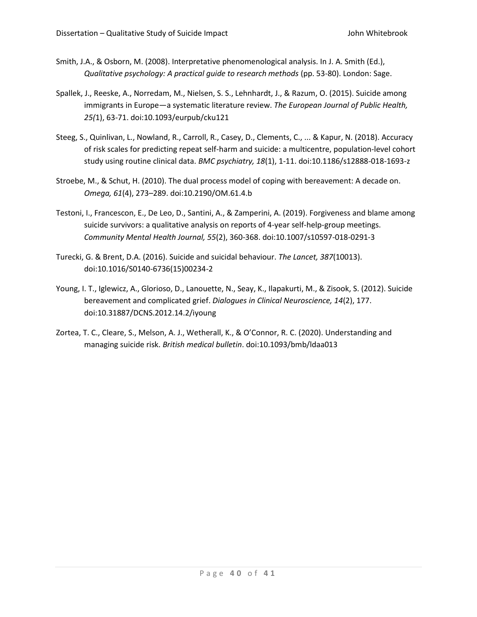- Smith, J.A., & Osborn, M. (2008). Interpretative phenomenological analysis. In J. A. Smith (Ed.), *Qualitative psychology: A practical guide to research methods* (pp. 53-80). London: Sage.
- Spallek, J., Reeske, A., Norredam, M., Nielsen, S. S., Lehnhardt, J., & Razum, O. (2015). Suicide among immigrants in Europe—a systematic literature review. *The European Journal of Public Health, 25(*1), 63-71. doi:10.1093/eurpub/cku121
- Steeg, S., Quinlivan, L., Nowland, R., Carroll, R., Casey, D., Clements, C., ... & Kapur, N. (2018). Accuracy of risk scales for predicting repeat self-harm and suicide: a multicentre, population-level cohort study using routine clinical data. *BMC psychiatry, 18*(1), 1-11. doi:10.1186/s12888-018-1693-z
- Stroebe, M., & Schut, H. (2010). The dual process model of coping with bereavement: A decade on. *Omega, 61*(4), 273–289. doi:10.2190/OM.61.4.b
- Testoni, I., Francescon, E., De Leo, D., Santini, A., & Zamperini, A. (2019). Forgiveness and blame among suicide survivors: a qualitative analysis on reports of 4-year self-help-group meetings. *Community Mental Health Journal, 55*(2), 360-368. doi:10.1007/s10597-018-0291-3
- Turecki, G. & Brent, D.A. (2016). Suicide and suicidal behaviour. *The Lancet, 387*(10013). doi:10.1016/S0140-6736(15)00234-2
- Young, I. T., Iglewicz, A., Glorioso, D., Lanouette, N., Seay, K., Ilapakurti, M., & Zisook, S. (2012). Suicide bereavement and complicated grief. *Dialogues in Clinical Neuroscience, 14*(2), 177. doi:10.31887/DCNS.2012.14.2/iyoung
- Zortea, T. C., Cleare, S., Melson, A. J., Wetherall, K., & O'Connor, R. C. (2020). Understanding and managing suicide risk. *British medical bulletin*. doi:10.1093/bmb/ldaa013